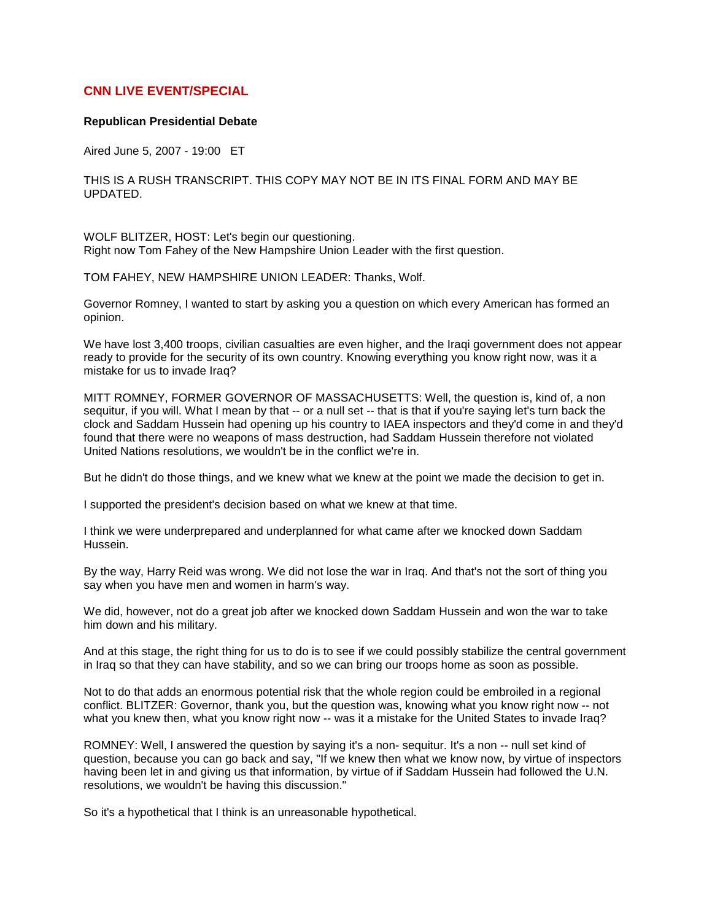# **CNN LIVE EVENT/SPECIAL**

# **Republican Presidential Debate**

Aired June 5, 2007 - 19:00 ET

THIS IS A RUSH TRANSCRIPT. THIS COPY MAY NOT BE IN ITS FINAL FORM AND MAY BE UPDATED.

WOLF BLITZER, HOST: Let's begin our questioning. Right now Tom Fahey of the New Hampshire Union Leader with the first question.

TOM FAHEY, NEW HAMPSHIRE UNION LEADER: Thanks, Wolf.

Governor Romney, I wanted to start by asking you a question on which every American has formed an opinion.

We have lost 3,400 troops, civilian casualties are even higher, and the Iraqi government does not appear ready to provide for the security of its own country. Knowing everything you know right now, was it a mistake for us to invade Iraq?

MITT ROMNEY, FORMER GOVERNOR OF MASSACHUSETTS: Well, the question is, kind of, a non sequitur, if you will. What I mean by that -- or a null set -- that is that if you're saying let's turn back the clock and Saddam Hussein had opening up his country to IAEA inspectors and they'd come in and they'd found that there were no weapons of mass destruction, had Saddam Hussein therefore not violated United Nations resolutions, we wouldn't be in the conflict we're in.

But he didn't do those things, and we knew what we knew at the point we made the decision to get in.

I supported the president's decision based on what we knew at that time.

I think we were underprepared and underplanned for what came after we knocked down Saddam Hussein.

By the way, Harry Reid was wrong. We did not lose the war in Iraq. And that's not the sort of thing you say when you have men and women in harm's way.

We did, however, not do a great job after we knocked down Saddam Hussein and won the war to take him down and his military.

And at this stage, the right thing for us to do is to see if we could possibly stabilize the central government in Iraq so that they can have stability, and so we can bring our troops home as soon as possible.

Not to do that adds an enormous potential risk that the whole region could be embroiled in a regional conflict. BLITZER: Governor, thank you, but the question was, knowing what you know right now -- not what you knew then, what you know right now -- was it a mistake for the United States to invade Iraq?

ROMNEY: Well, I answered the question by saying it's a non- sequitur. It's a non -- null set kind of question, because you can go back and say, "If we knew then what we know now, by virtue of inspectors having been let in and giving us that information, by virtue of if Saddam Hussein had followed the U.N. resolutions, we wouldn't be having this discussion."

So it's a hypothetical that I think is an unreasonable hypothetical.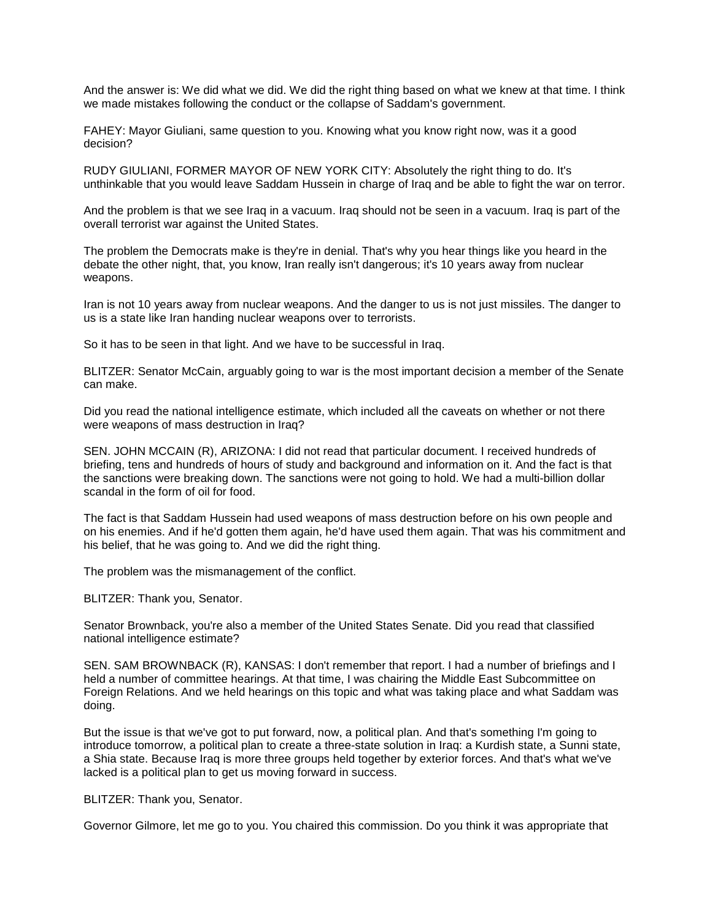And the answer is: We did what we did. We did the right thing based on what we knew at that time. I think we made mistakes following the conduct or the collapse of Saddam's government.

FAHEY: Mayor Giuliani, same question to you. Knowing what you know right now, was it a good decision?

RUDY GIULIANI, FORMER MAYOR OF NEW YORK CITY: Absolutely the right thing to do. It's unthinkable that you would leave Saddam Hussein in charge of Iraq and be able to fight the war on terror.

And the problem is that we see Iraq in a vacuum. Iraq should not be seen in a vacuum. Iraq is part of the overall terrorist war against the United States.

The problem the Democrats make is they're in denial. That's why you hear things like you heard in the debate the other night, that, you know, Iran really isn't dangerous; it's 10 years away from nuclear weapons.

Iran is not 10 years away from nuclear weapons. And the danger to us is not just missiles. The danger to us is a state like Iran handing nuclear weapons over to terrorists.

So it has to be seen in that light. And we have to be successful in Iraq.

BLITZER: Senator McCain, arguably going to war is the most important decision a member of the Senate can make.

Did you read the national intelligence estimate, which included all the caveats on whether or not there were weapons of mass destruction in Iraq?

SEN. JOHN MCCAIN (R), ARIZONA: I did not read that particular document. I received hundreds of briefing, tens and hundreds of hours of study and background and information on it. And the fact is that the sanctions were breaking down. The sanctions were not going to hold. We had a multi-billion dollar scandal in the form of oil for food.

The fact is that Saddam Hussein had used weapons of mass destruction before on his own people and on his enemies. And if he'd gotten them again, he'd have used them again. That was his commitment and his belief, that he was going to. And we did the right thing.

The problem was the mismanagement of the conflict.

BLITZER: Thank you, Senator.

Senator Brownback, you're also a member of the United States Senate. Did you read that classified national intelligence estimate?

SEN. SAM BROWNBACK (R), KANSAS: I don't remember that report. I had a number of briefings and I held a number of committee hearings. At that time, I was chairing the Middle East Subcommittee on Foreign Relations. And we held hearings on this topic and what was taking place and what Saddam was doing.

But the issue is that we've got to put forward, now, a political plan. And that's something I'm going to introduce tomorrow, a political plan to create a three-state solution in Iraq: a Kurdish state, a Sunni state, a Shia state. Because Iraq is more three groups held together by exterior forces. And that's what we've lacked is a political plan to get us moving forward in success.

BLITZER: Thank you, Senator.

Governor Gilmore, let me go to you. You chaired this commission. Do you think it was appropriate that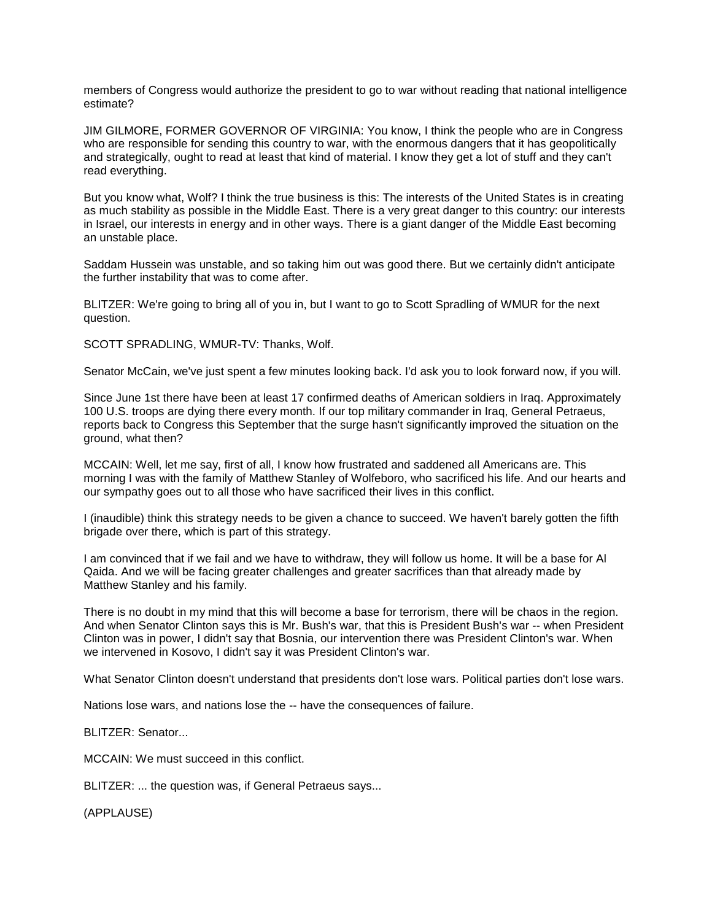members of Congress would authorize the president to go to war without reading that national intelligence estimate?

JIM GILMORE, FORMER GOVERNOR OF VIRGINIA: You know, I think the people who are in Congress who are responsible for sending this country to war, with the enormous dangers that it has geopolitically and strategically, ought to read at least that kind of material. I know they get a lot of stuff and they can't read everything.

But you know what, Wolf? I think the true business is this: The interests of the United States is in creating as much stability as possible in the Middle East. There is a very great danger to this country: our interests in Israel, our interests in energy and in other ways. There is a giant danger of the Middle East becoming an unstable place.

Saddam Hussein was unstable, and so taking him out was good there. But we certainly didn't anticipate the further instability that was to come after.

BLITZER: We're going to bring all of you in, but I want to go to Scott Spradling of WMUR for the next question.

SCOTT SPRADLING, WMUR-TV: Thanks, Wolf.

Senator McCain, we've just spent a few minutes looking back. I'd ask you to look forward now, if you will.

Since June 1st there have been at least 17 confirmed deaths of American soldiers in Iraq. Approximately 100 U.S. troops are dying there every month. If our top military commander in Iraq, General Petraeus, reports back to Congress this September that the surge hasn't significantly improved the situation on the ground, what then?

MCCAIN: Well, let me say, first of all, I know how frustrated and saddened all Americans are. This morning I was with the family of Matthew Stanley of Wolfeboro, who sacrificed his life. And our hearts and our sympathy goes out to all those who have sacrificed their lives in this conflict.

I (inaudible) think this strategy needs to be given a chance to succeed. We haven't barely gotten the fifth brigade over there, which is part of this strategy.

I am convinced that if we fail and we have to withdraw, they will follow us home. It will be a base for Al Qaida. And we will be facing greater challenges and greater sacrifices than that already made by Matthew Stanley and his family.

There is no doubt in my mind that this will become a base for terrorism, there will be chaos in the region. And when Senator Clinton says this is Mr. Bush's war, that this is President Bush's war -- when President Clinton was in power, I didn't say that Bosnia, our intervention there was President Clinton's war. When we intervened in Kosovo, I didn't say it was President Clinton's war.

What Senator Clinton doesn't understand that presidents don't lose wars. Political parties don't lose wars.

Nations lose wars, and nations lose the -- have the consequences of failure.

BLITZER: Senator

MCCAIN: We must succeed in this conflict.

BLITZER: ... the question was, if General Petraeus says...

(APPLAUSE)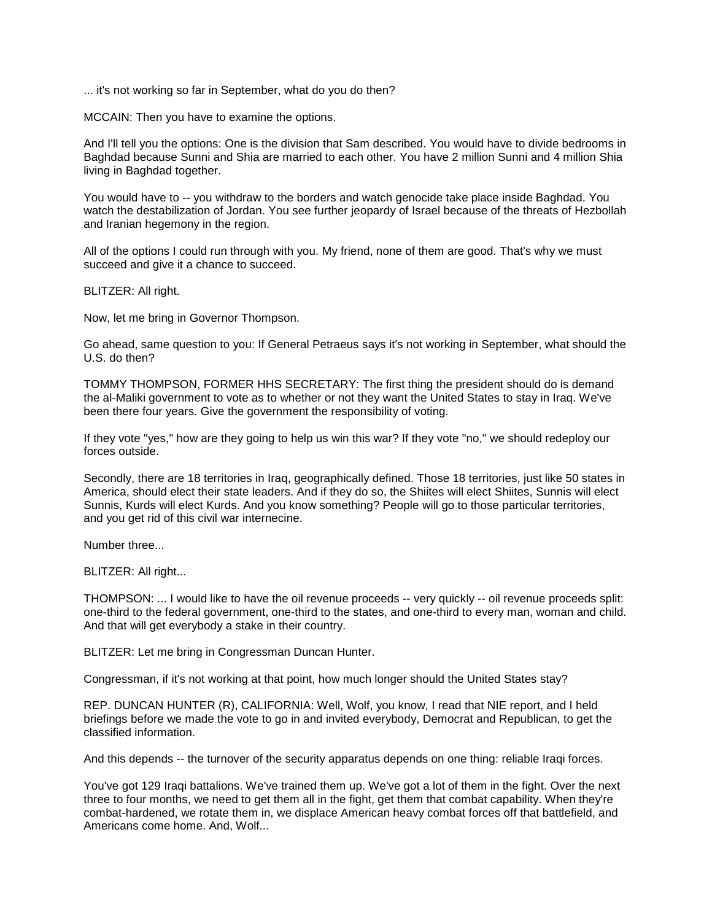... it's not working so far in September, what do you do then?

MCCAIN: Then you have to examine the options.

And I'll tell you the options: One is the division that Sam described. You would have to divide bedrooms in Baghdad because Sunni and Shia are married to each other. You have 2 million Sunni and 4 million Shia living in Baghdad together.

You would have to -- you withdraw to the borders and watch genocide take place inside Baghdad. You watch the destabilization of Jordan. You see further jeopardy of Israel because of the threats of Hezbollah and Iranian hegemony in the region.

All of the options I could run through with you. My friend, none of them are good. That's why we must succeed and give it a chance to succeed.

BLITZER: All right.

Now, let me bring in Governor Thompson.

Go ahead, same question to you: If General Petraeus says it's not working in September, what should the U.S. do then?

TOMMY THOMPSON, FORMER HHS SECRETARY: The first thing the president should do is demand the al-Maliki government to vote as to whether or not they want the United States to stay in Iraq. We've been there four years. Give the government the responsibility of voting.

If they vote "yes," how are they going to help us win this war? If they vote "no," we should redeploy our forces outside.

Secondly, there are 18 territories in Iraq, geographically defined. Those 18 territories, just like 50 states in America, should elect their state leaders. And if they do so, the Shiites will elect Shiites, Sunnis will elect Sunnis, Kurds will elect Kurds. And you know something? People will go to those particular territories, and you get rid of this civil war internecine.

Number three...

BLITZER: All right...

THOMPSON: ... I would like to have the oil revenue proceeds -- very quickly -- oil revenue proceeds split: one-third to the federal government, one-third to the states, and one-third to every man, woman and child. And that will get everybody a stake in their country.

BLITZER: Let me bring in Congressman Duncan Hunter.

Congressman, if it's not working at that point, how much longer should the United States stay?

REP. DUNCAN HUNTER (R), CALIFORNIA: Well, Wolf, you know, I read that NIE report, and I held briefings before we made the vote to go in and invited everybody, Democrat and Republican, to get the classified information.

And this depends -- the turnover of the security apparatus depends on one thing: reliable Iraqi forces.

You've got 129 Iraqi battalions. We've trained them up. We've got a lot of them in the fight. Over the next three to four months, we need to get them all in the fight, get them that combat capability. When they're combat-hardened, we rotate them in, we displace American heavy combat forces off that battlefield, and Americans come home. And, Wolf...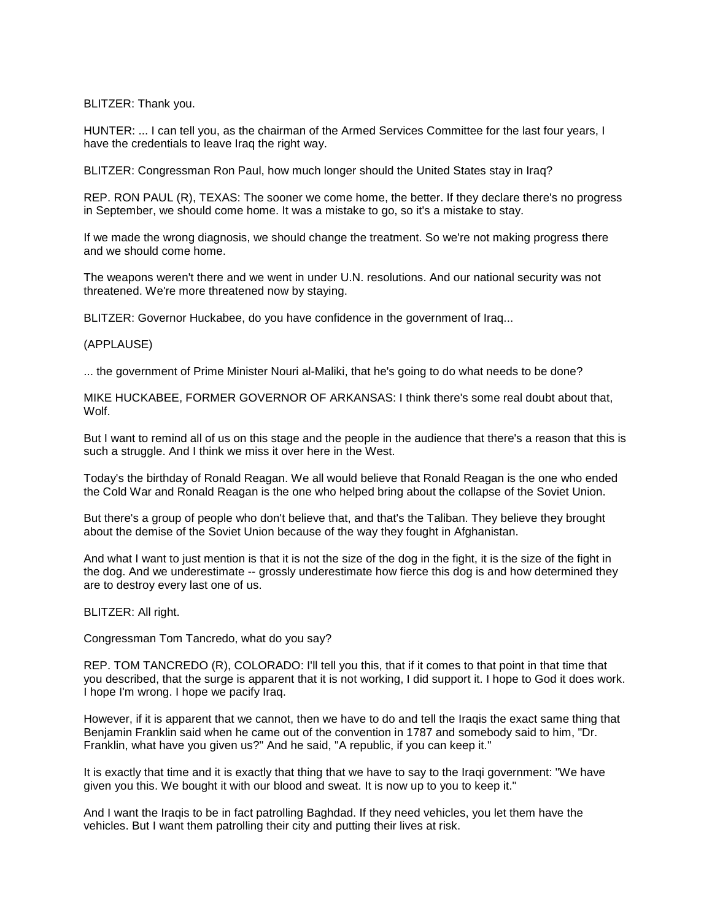BLITZER: Thank you.

HUNTER: ... I can tell you, as the chairman of the Armed Services Committee for the last four years, I have the credentials to leave Iraq the right way.

BLITZER: Congressman Ron Paul, how much longer should the United States stay in Iraq?

REP. RON PAUL (R), TEXAS: The sooner we come home, the better. If they declare there's no progress in September, we should come home. It was a mistake to go, so it's a mistake to stay.

If we made the wrong diagnosis, we should change the treatment. So we're not making progress there and we should come home.

The weapons weren't there and we went in under U.N. resolutions. And our national security was not threatened. We're more threatened now by staying.

BLITZER: Governor Huckabee, do you have confidence in the government of Iraq...

### (APPLAUSE)

... the government of Prime Minister Nouri al-Maliki, that he's going to do what needs to be done?

MIKE HUCKABEE, FORMER GOVERNOR OF ARKANSAS: I think there's some real doubt about that, Wolf.

But I want to remind all of us on this stage and the people in the audience that there's a reason that this is such a struggle. And I think we miss it over here in the West.

Today's the birthday of Ronald Reagan. We all would believe that Ronald Reagan is the one who ended the Cold War and Ronald Reagan is the one who helped bring about the collapse of the Soviet Union.

But there's a group of people who don't believe that, and that's the Taliban. They believe they brought about the demise of the Soviet Union because of the way they fought in Afghanistan.

And what I want to just mention is that it is not the size of the dog in the fight, it is the size of the fight in the dog. And we underestimate -- grossly underestimate how fierce this dog is and how determined they are to destroy every last one of us.

### BLITZER: All right.

Congressman Tom Tancredo, what do you say?

REP. TOM TANCREDO (R), COLORADO: I'll tell you this, that if it comes to that point in that time that you described, that the surge is apparent that it is not working, I did support it. I hope to God it does work. I hope I'm wrong. I hope we pacify Iraq.

However, if it is apparent that we cannot, then we have to do and tell the Iraqis the exact same thing that Benjamin Franklin said when he came out of the convention in 1787 and somebody said to him, "Dr. Franklin, what have you given us?" And he said, "A republic, if you can keep it."

It is exactly that time and it is exactly that thing that we have to say to the Iraqi government: "We have given you this. We bought it with our blood and sweat. It is now up to you to keep it."

And I want the Iraqis to be in fact patrolling Baghdad. If they need vehicles, you let them have the vehicles. But I want them patrolling their city and putting their lives at risk.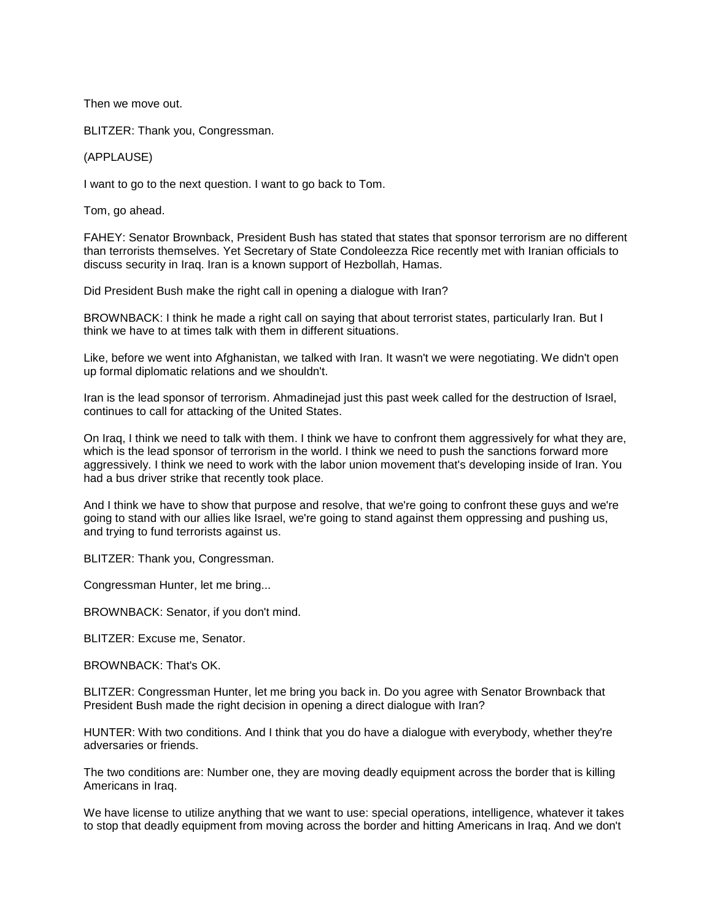Then we move out.

BLITZER: Thank you, Congressman.

# (APPLAUSE)

I want to go to the next question. I want to go back to Tom.

Tom, go ahead.

FAHEY: Senator Brownback, President Bush has stated that states that sponsor terrorism are no different than terrorists themselves. Yet Secretary of State Condoleezza Rice recently met with Iranian officials to discuss security in Iraq. Iran is a known support of Hezbollah, Hamas.

Did President Bush make the right call in opening a dialogue with Iran?

BROWNBACK: I think he made a right call on saying that about terrorist states, particularly Iran. But I think we have to at times talk with them in different situations.

Like, before we went into Afghanistan, we talked with Iran. It wasn't we were negotiating. We didn't open up formal diplomatic relations and we shouldn't.

Iran is the lead sponsor of terrorism. Ahmadinejad just this past week called for the destruction of Israel, continues to call for attacking of the United States.

On Iraq, I think we need to talk with them. I think we have to confront them aggressively for what they are, which is the lead sponsor of terrorism in the world. I think we need to push the sanctions forward more aggressively. I think we need to work with the labor union movement that's developing inside of Iran. You had a bus driver strike that recently took place.

And I think we have to show that purpose and resolve, that we're going to confront these guys and we're going to stand with our allies like Israel, we're going to stand against them oppressing and pushing us, and trying to fund terrorists against us.

BLITZER: Thank you, Congressman.

Congressman Hunter, let me bring...

BROWNBACK: Senator, if you don't mind.

BLITZER: Excuse me, Senator.

BROWNBACK: That's OK.

BLITZER: Congressman Hunter, let me bring you back in. Do you agree with Senator Brownback that President Bush made the right decision in opening a direct dialogue with Iran?

HUNTER: With two conditions. And I think that you do have a dialogue with everybody, whether they're adversaries or friends.

The two conditions are: Number one, they are moving deadly equipment across the border that is killing Americans in Iraq.

We have license to utilize anything that we want to use: special operations, intelligence, whatever it takes to stop that deadly equipment from moving across the border and hitting Americans in Iraq. And we don't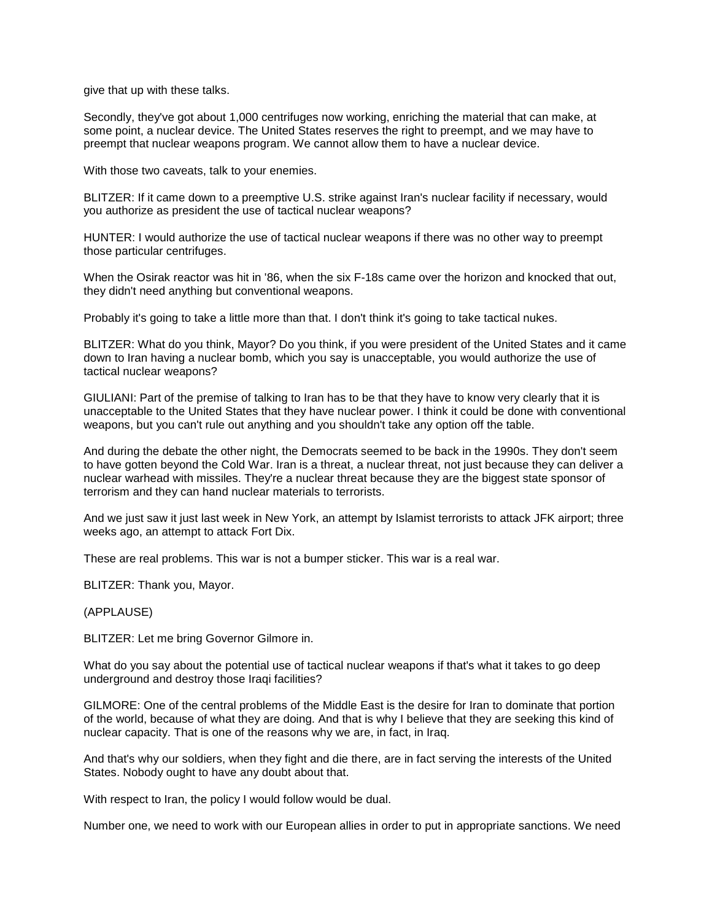give that up with these talks.

Secondly, they've got about 1,000 centrifuges now working, enriching the material that can make, at some point, a nuclear device. The United States reserves the right to preempt, and we may have to preempt that nuclear weapons program. We cannot allow them to have a nuclear device.

With those two caveats, talk to your enemies.

BLITZER: If it came down to a preemptive U.S. strike against Iran's nuclear facility if necessary, would you authorize as president the use of tactical nuclear weapons?

HUNTER: I would authorize the use of tactical nuclear weapons if there was no other way to preempt those particular centrifuges.

When the Osirak reactor was hit in '86, when the six F-18s came over the horizon and knocked that out, they didn't need anything but conventional weapons.

Probably it's going to take a little more than that. I don't think it's going to take tactical nukes.

BLITZER: What do you think, Mayor? Do you think, if you were president of the United States and it came down to Iran having a nuclear bomb, which you say is unacceptable, you would authorize the use of tactical nuclear weapons?

GIULIANI: Part of the premise of talking to Iran has to be that they have to know very clearly that it is unacceptable to the United States that they have nuclear power. I think it could be done with conventional weapons, but you can't rule out anything and you shouldn't take any option off the table.

And during the debate the other night, the Democrats seemed to be back in the 1990s. They don't seem to have gotten beyond the Cold War. Iran is a threat, a nuclear threat, not just because they can deliver a nuclear warhead with missiles. They're a nuclear threat because they are the biggest state sponsor of terrorism and they can hand nuclear materials to terrorists.

And we just saw it just last week in New York, an attempt by Islamist terrorists to attack JFK airport; three weeks ago, an attempt to attack Fort Dix.

These are real problems. This war is not a bumper sticker. This war is a real war.

BLITZER: Thank you, Mayor.

(APPLAUSE)

BLITZER: Let me bring Governor Gilmore in.

What do you say about the potential use of tactical nuclear weapons if that's what it takes to go deep underground and destroy those Iraqi facilities?

GILMORE: One of the central problems of the Middle East is the desire for Iran to dominate that portion of the world, because of what they are doing. And that is why I believe that they are seeking this kind of nuclear capacity. That is one of the reasons why we are, in fact, in Iraq.

And that's why our soldiers, when they fight and die there, are in fact serving the interests of the United States. Nobody ought to have any doubt about that.

With respect to Iran, the policy I would follow would be dual.

Number one, we need to work with our European allies in order to put in appropriate sanctions. We need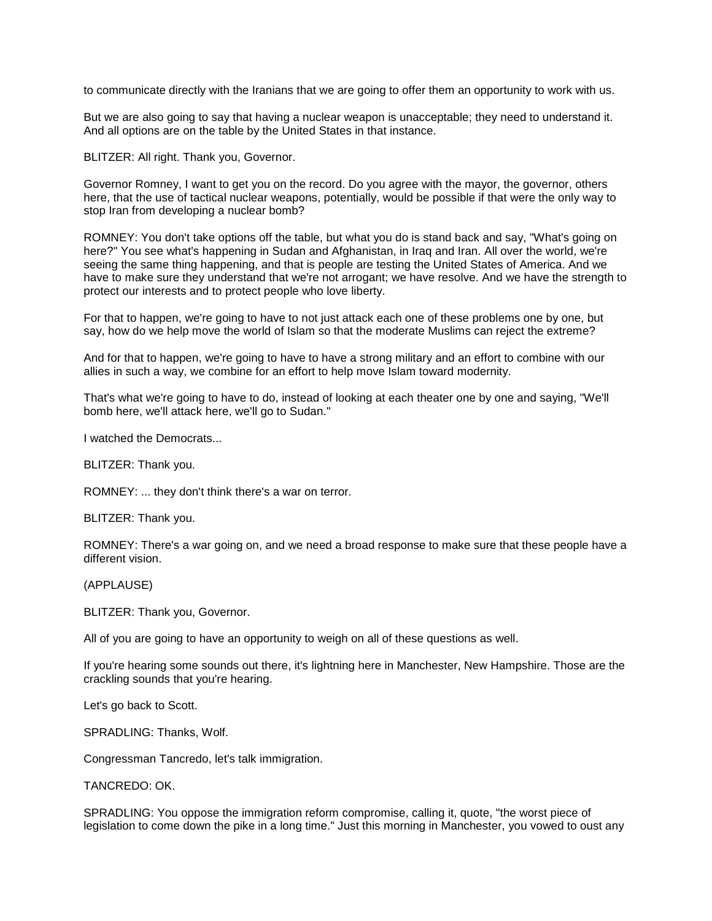to communicate directly with the Iranians that we are going to offer them an opportunity to work with us.

But we are also going to say that having a nuclear weapon is unacceptable; they need to understand it. And all options are on the table by the United States in that instance.

BLITZER: All right. Thank you, Governor.

Governor Romney, I want to get you on the record. Do you agree with the mayor, the governor, others here, that the use of tactical nuclear weapons, potentially, would be possible if that were the only way to stop Iran from developing a nuclear bomb?

ROMNEY: You don't take options off the table, but what you do is stand back and say, "What's going on here?" You see what's happening in Sudan and Afghanistan, in Iraq and Iran. All over the world, we're seeing the same thing happening, and that is people are testing the United States of America. And we have to make sure they understand that we're not arrogant; we have resolve. And we have the strength to protect our interests and to protect people who love liberty.

For that to happen, we're going to have to not just attack each one of these problems one by one, but say, how do we help move the world of Islam so that the moderate Muslims can reject the extreme?

And for that to happen, we're going to have to have a strong military and an effort to combine with our allies in such a way, we combine for an effort to help move Islam toward modernity.

That's what we're going to have to do, instead of looking at each theater one by one and saying, "We'll bomb here, we'll attack here, we'll go to Sudan."

I watched the Democrats...

BLITZER: Thank you.

ROMNEY: ... they don't think there's a war on terror.

BLITZER: Thank you.

ROMNEY: There's a war going on, and we need a broad response to make sure that these people have a different vision.

(APPLAUSE)

BLITZER: Thank you, Governor.

All of you are going to have an opportunity to weigh on all of these questions as well.

If you're hearing some sounds out there, it's lightning here in Manchester, New Hampshire. Those are the crackling sounds that you're hearing.

Let's go back to Scott.

SPRADLING: Thanks, Wolf.

Congressman Tancredo, let's talk immigration.

TANCREDO: OK.

SPRADLING: You oppose the immigration reform compromise, calling it, quote, "the worst piece of legislation to come down the pike in a long time." Just this morning in Manchester, you vowed to oust any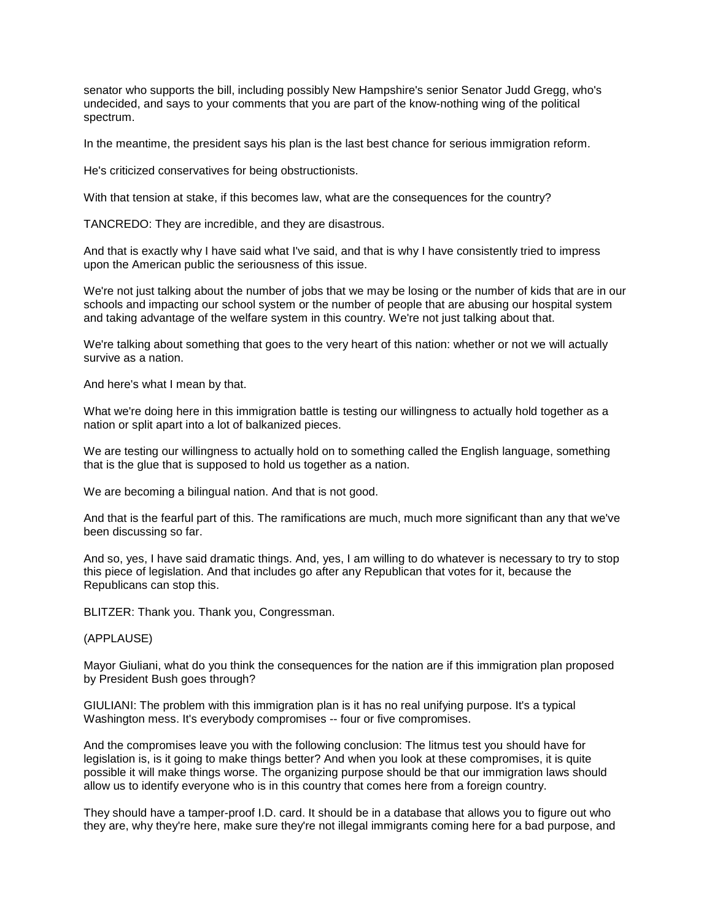senator who supports the bill, including possibly New Hampshire's senior Senator Judd Gregg, who's undecided, and says to your comments that you are part of the know-nothing wing of the political spectrum.

In the meantime, the president says his plan is the last best chance for serious immigration reform.

He's criticized conservatives for being obstructionists.

With that tension at stake, if this becomes law, what are the consequences for the country?

TANCREDO: They are incredible, and they are disastrous.

And that is exactly why I have said what I've said, and that is why I have consistently tried to impress upon the American public the seriousness of this issue.

We're not just talking about the number of jobs that we may be losing or the number of kids that are in our schools and impacting our school system or the number of people that are abusing our hospital system and taking advantage of the welfare system in this country. We're not just talking about that.

We're talking about something that goes to the very heart of this nation: whether or not we will actually survive as a nation.

And here's what I mean by that.

What we're doing here in this immigration battle is testing our willingness to actually hold together as a nation or split apart into a lot of balkanized pieces.

We are testing our willingness to actually hold on to something called the English language, something that is the glue that is supposed to hold us together as a nation.

We are becoming a bilingual nation. And that is not good.

And that is the fearful part of this. The ramifications are much, much more significant than any that we've been discussing so far.

And so, yes, I have said dramatic things. And, yes, I am willing to do whatever is necessary to try to stop this piece of legislation. And that includes go after any Republican that votes for it, because the Republicans can stop this.

BLITZER: Thank you. Thank you, Congressman.

(APPLAUSE)

Mayor Giuliani, what do you think the consequences for the nation are if this immigration plan proposed by President Bush goes through?

GIULIANI: The problem with this immigration plan is it has no real unifying purpose. It's a typical Washington mess. It's everybody compromises -- four or five compromises.

And the compromises leave you with the following conclusion: The litmus test you should have for legislation is, is it going to make things better? And when you look at these compromises, it is quite possible it will make things worse. The organizing purpose should be that our immigration laws should allow us to identify everyone who is in this country that comes here from a foreign country.

They should have a tamper-proof I.D. card. It should be in a database that allows you to figure out who they are, why they're here, make sure they're not illegal immigrants coming here for a bad purpose, and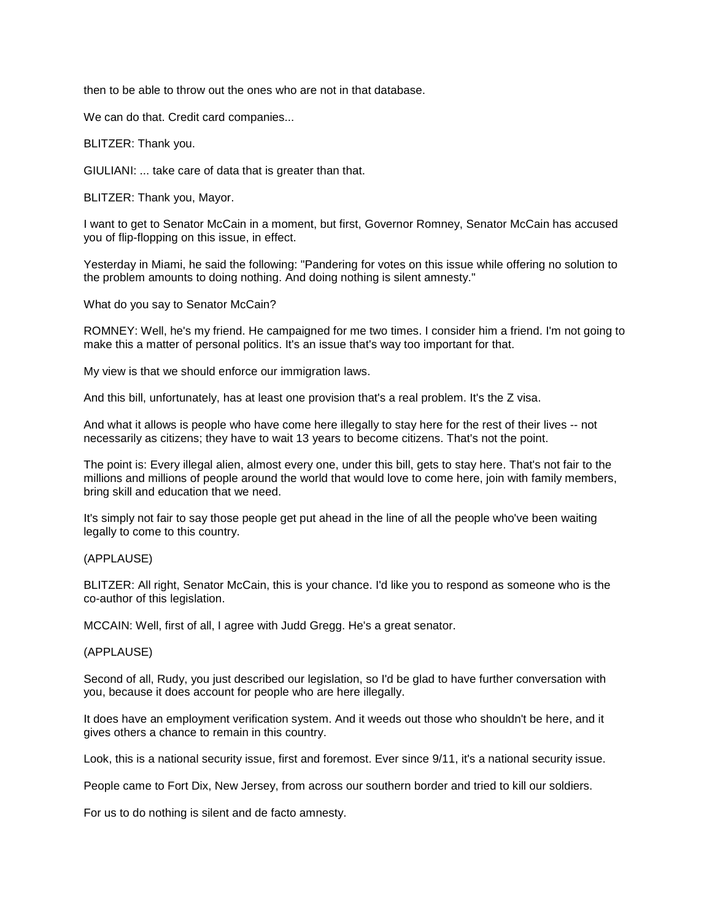then to be able to throw out the ones who are not in that database.

We can do that. Credit card companies...

BLITZER: Thank you.

GIULIANI: ... take care of data that is greater than that.

BLITZER: Thank you, Mayor.

I want to get to Senator McCain in a moment, but first, Governor Romney, Senator McCain has accused you of flip-flopping on this issue, in effect.

Yesterday in Miami, he said the following: "Pandering for votes on this issue while offering no solution to the problem amounts to doing nothing. And doing nothing is silent amnesty."

What do you say to Senator McCain?

ROMNEY: Well, he's my friend. He campaigned for me two times. I consider him a friend. I'm not going to make this a matter of personal politics. It's an issue that's way too important for that.

My view is that we should enforce our immigration laws.

And this bill, unfortunately, has at least one provision that's a real problem. It's the Z visa.

And what it allows is people who have come here illegally to stay here for the rest of their lives -- not necessarily as citizens; they have to wait 13 years to become citizens. That's not the point.

The point is: Every illegal alien, almost every one, under this bill, gets to stay here. That's not fair to the millions and millions of people around the world that would love to come here, join with family members, bring skill and education that we need.

It's simply not fair to say those people get put ahead in the line of all the people who've been waiting legally to come to this country.

### (APPLAUSE)

BLITZER: All right, Senator McCain, this is your chance. I'd like you to respond as someone who is the co-author of this legislation.

MCCAIN: Well, first of all, I agree with Judd Gregg. He's a great senator.

### (APPLAUSE)

Second of all, Rudy, you just described our legislation, so I'd be glad to have further conversation with you, because it does account for people who are here illegally.

It does have an employment verification system. And it weeds out those who shouldn't be here, and it gives others a chance to remain in this country.

Look, this is a national security issue, first and foremost. Ever since 9/11, it's a national security issue.

People came to Fort Dix, New Jersey, from across our southern border and tried to kill our soldiers.

For us to do nothing is silent and de facto amnesty.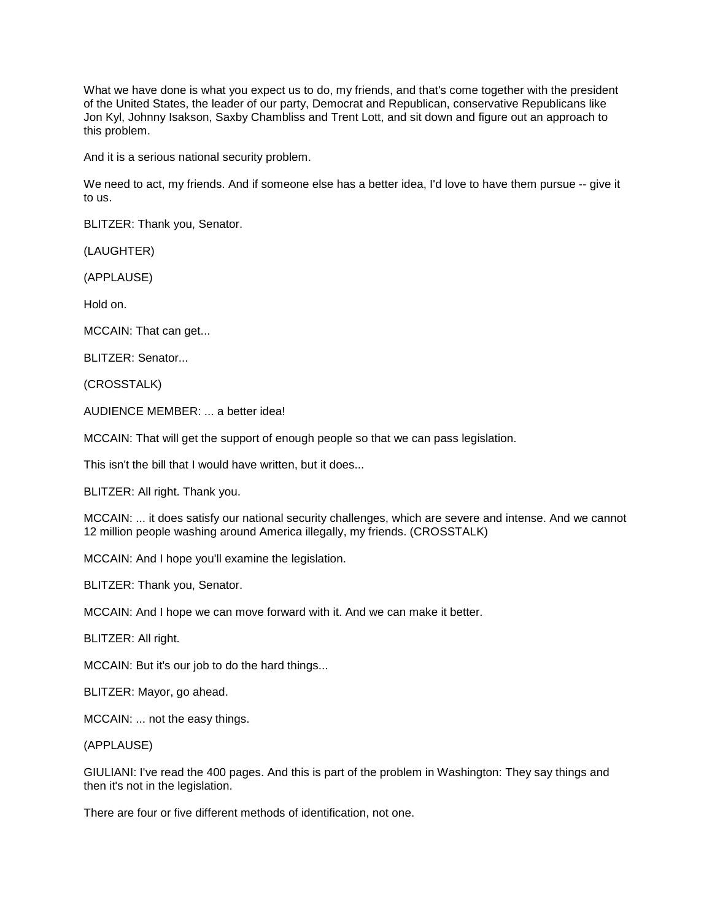What we have done is what you expect us to do, my friends, and that's come together with the president of the United States, the leader of our party, Democrat and Republican, conservative Republicans like Jon Kyl, Johnny Isakson, Saxby Chambliss and Trent Lott, and sit down and figure out an approach to this problem.

And it is a serious national security problem.

We need to act, my friends. And if someone else has a better idea, I'd love to have them pursue -- give it to us.

BLITZER: Thank you, Senator.

(LAUGHTER)

(APPLAUSE)

Hold on.

MCCAIN: That can get...

BLITZER: Senator...

(CROSSTALK)

AUDIENCE MEMBER: ... a better idea!

MCCAIN: That will get the support of enough people so that we can pass legislation.

This isn't the bill that I would have written, but it does...

BLITZER: All right. Thank you.

MCCAIN: ... it does satisfy our national security challenges, which are severe and intense. And we cannot 12 million people washing around America illegally, my friends. (CROSSTALK)

MCCAIN: And I hope you'll examine the legislation.

BLITZER: Thank you, Senator.

MCCAIN: And I hope we can move forward with it. And we can make it better.

BLITZER: All right.

MCCAIN: But it's our job to do the hard things...

BLITZER: Mayor, go ahead.

MCCAIN: ... not the easy things.

(APPLAUSE)

GIULIANI: I've read the 400 pages. And this is part of the problem in Washington: They say things and then it's not in the legislation.

There are four or five different methods of identification, not one.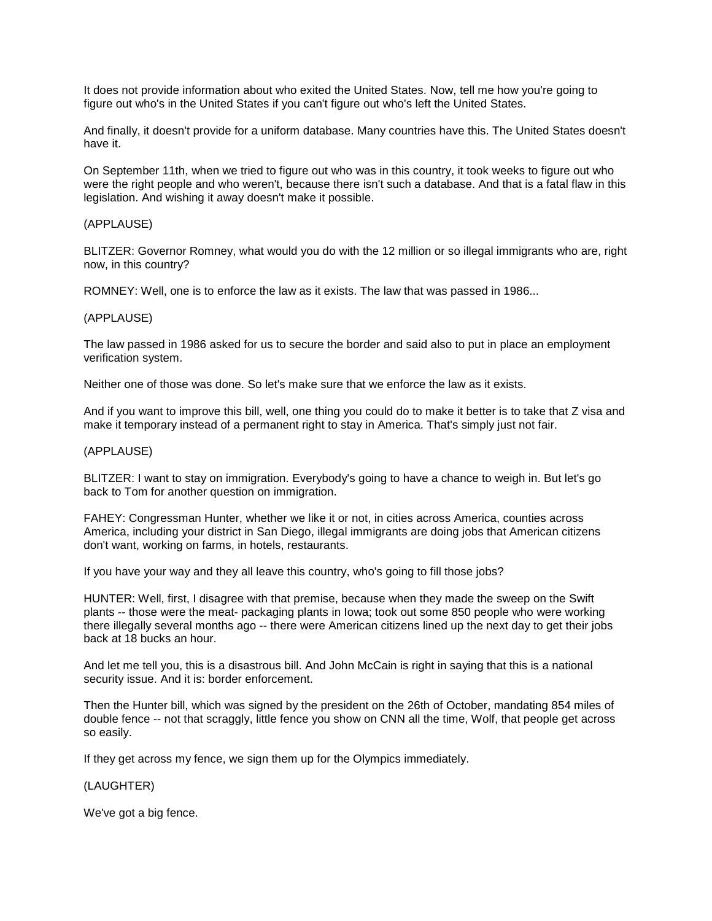It does not provide information about who exited the United States. Now, tell me how you're going to figure out who's in the United States if you can't figure out who's left the United States.

And finally, it doesn't provide for a uniform database. Many countries have this. The United States doesn't have it.

On September 11th, when we tried to figure out who was in this country, it took weeks to figure out who were the right people and who weren't, because there isn't such a database. And that is a fatal flaw in this legislation. And wishing it away doesn't make it possible.

## (APPLAUSE)

BLITZER: Governor Romney, what would you do with the 12 million or so illegal immigrants who are, right now, in this country?

ROMNEY: Well, one is to enforce the law as it exists. The law that was passed in 1986...

### (APPLAUSE)

The law passed in 1986 asked for us to secure the border and said also to put in place an employment verification system.

Neither one of those was done. So let's make sure that we enforce the law as it exists.

And if you want to improve this bill, well, one thing you could do to make it better is to take that Z visa and make it temporary instead of a permanent right to stay in America. That's simply just not fair.

# (APPLAUSE)

BLITZER: I want to stay on immigration. Everybody's going to have a chance to weigh in. But let's go back to Tom for another question on immigration.

FAHEY: Congressman Hunter, whether we like it or not, in cities across America, counties across America, including your district in San Diego, illegal immigrants are doing jobs that American citizens don't want, working on farms, in hotels, restaurants.

If you have your way and they all leave this country, who's going to fill those jobs?

HUNTER: Well, first, I disagree with that premise, because when they made the sweep on the Swift plants -- those were the meat- packaging plants in Iowa; took out some 850 people who were working there illegally several months ago -- there were American citizens lined up the next day to get their jobs back at 18 bucks an hour.

And let me tell you, this is a disastrous bill. And John McCain is right in saying that this is a national security issue. And it is: border enforcement.

Then the Hunter bill, which was signed by the president on the 26th of October, mandating 854 miles of double fence -- not that scraggly, little fence you show on CNN all the time, Wolf, that people get across so easily.

If they get across my fence, we sign them up for the Olympics immediately.

### (LAUGHTER)

We've got a big fence.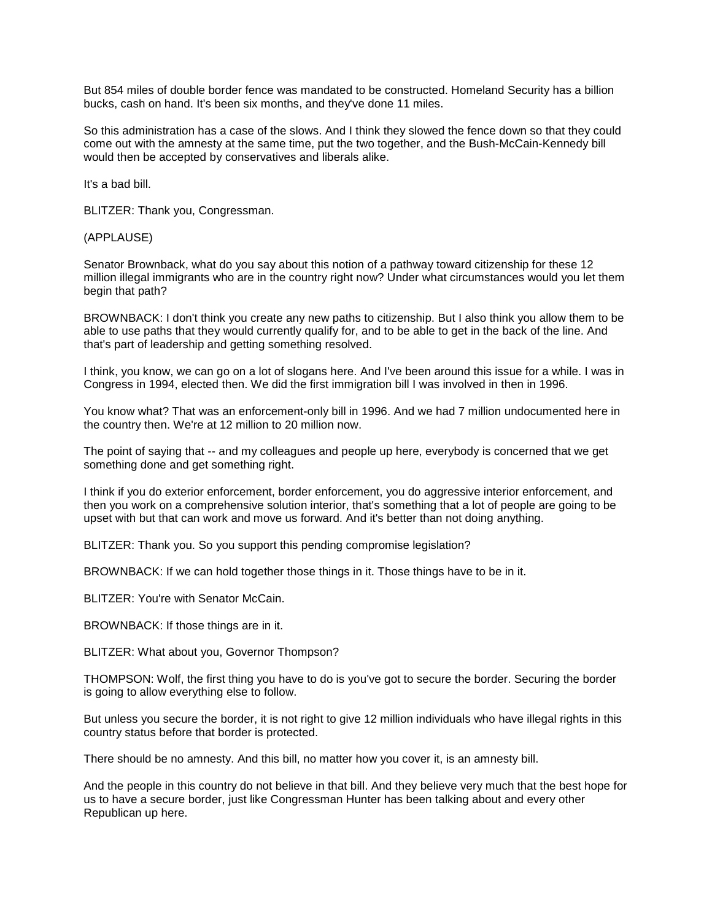But 854 miles of double border fence was mandated to be constructed. Homeland Security has a billion bucks, cash on hand. It's been six months, and they've done 11 miles.

So this administration has a case of the slows. And I think they slowed the fence down so that they could come out with the amnesty at the same time, put the two together, and the Bush-McCain-Kennedy bill would then be accepted by conservatives and liberals alike.

It's a bad bill.

BLITZER: Thank you, Congressman.

# (APPLAUSE)

Senator Brownback, what do you say about this notion of a pathway toward citizenship for these 12 million illegal immigrants who are in the country right now? Under what circumstances would you let them begin that path?

BROWNBACK: I don't think you create any new paths to citizenship. But I also think you allow them to be able to use paths that they would currently qualify for, and to be able to get in the back of the line. And that's part of leadership and getting something resolved.

I think, you know, we can go on a lot of slogans here. And I've been around this issue for a while. I was in Congress in 1994, elected then. We did the first immigration bill I was involved in then in 1996.

You know what? That was an enforcement-only bill in 1996. And we had 7 million undocumented here in the country then. We're at 12 million to 20 million now.

The point of saying that -- and my colleagues and people up here, everybody is concerned that we get something done and get something right.

I think if you do exterior enforcement, border enforcement, you do aggressive interior enforcement, and then you work on a comprehensive solution interior, that's something that a lot of people are going to be upset with but that can work and move us forward. And it's better than not doing anything.

BLITZER: Thank you. So you support this pending compromise legislation?

BROWNBACK: If we can hold together those things in it. Those things have to be in it.

BLITZER: You're with Senator McCain.

BROWNBACK: If those things are in it.

BLITZER: What about you, Governor Thompson?

THOMPSON: Wolf, the first thing you have to do is you've got to secure the border. Securing the border is going to allow everything else to follow.

But unless you secure the border, it is not right to give 12 million individuals who have illegal rights in this country status before that border is protected.

There should be no amnesty. And this bill, no matter how you cover it, is an amnesty bill.

And the people in this country do not believe in that bill. And they believe very much that the best hope for us to have a secure border, just like Congressman Hunter has been talking about and every other Republican up here.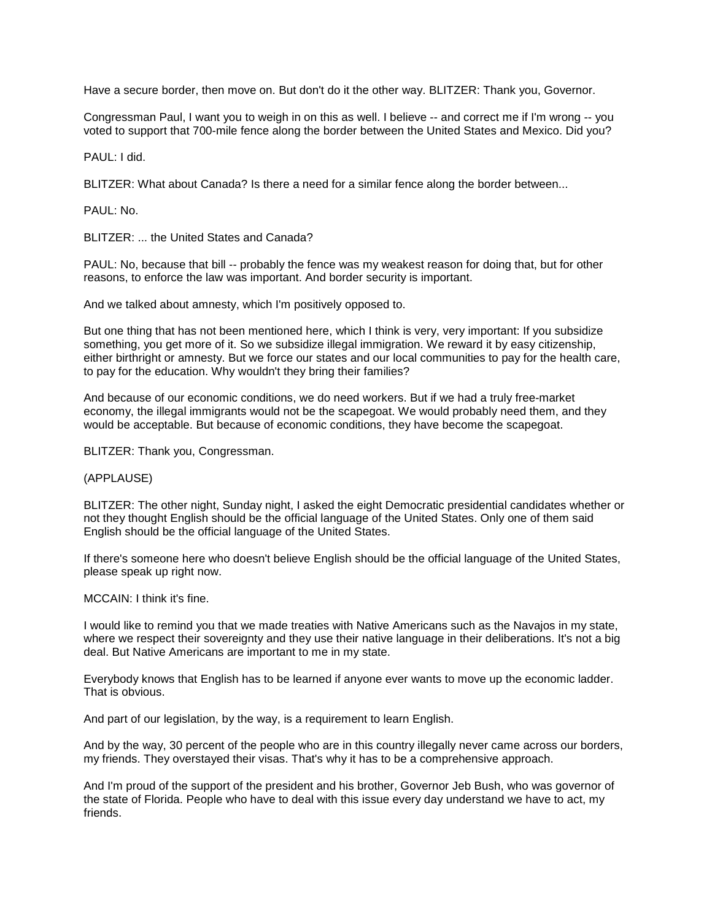Have a secure border, then move on. But don't do it the other way. BLITZER: Thank you, Governor.

Congressman Paul, I want you to weigh in on this as well. I believe -- and correct me if I'm wrong -- you voted to support that 700-mile fence along the border between the United States and Mexico. Did you?

PAUL: I did.

BLITZER: What about Canada? Is there a need for a similar fence along the border between...

PAUL: No.

BLITZER: ... the United States and Canada?

PAUL: No, because that bill -- probably the fence was my weakest reason for doing that, but for other reasons, to enforce the law was important. And border security is important.

And we talked about amnesty, which I'm positively opposed to.

But one thing that has not been mentioned here, which I think is very, very important: If you subsidize something, you get more of it. So we subsidize illegal immigration. We reward it by easy citizenship, either birthright or amnesty. But we force our states and our local communities to pay for the health care, to pay for the education. Why wouldn't they bring their families?

And because of our economic conditions, we do need workers. But if we had a truly free-market economy, the illegal immigrants would not be the scapegoat. We would probably need them, and they would be acceptable. But because of economic conditions, they have become the scapegoat.

BLITZER: Thank you, Congressman.

### (APPLAUSE)

BLITZER: The other night, Sunday night, I asked the eight Democratic presidential candidates whether or not they thought English should be the official language of the United States. Only one of them said English should be the official language of the United States.

If there's someone here who doesn't believe English should be the official language of the United States, please speak up right now.

MCCAIN: I think it's fine.

I would like to remind you that we made treaties with Native Americans such as the Navajos in my state, where we respect their sovereignty and they use their native language in their deliberations. It's not a big deal. But Native Americans are important to me in my state.

Everybody knows that English has to be learned if anyone ever wants to move up the economic ladder. That is obvious.

And part of our legislation, by the way, is a requirement to learn English.

And by the way, 30 percent of the people who are in this country illegally never came across our borders, my friends. They overstayed their visas. That's why it has to be a comprehensive approach.

And I'm proud of the support of the president and his brother, Governor Jeb Bush, who was governor of the state of Florida. People who have to deal with this issue every day understand we have to act, my friends.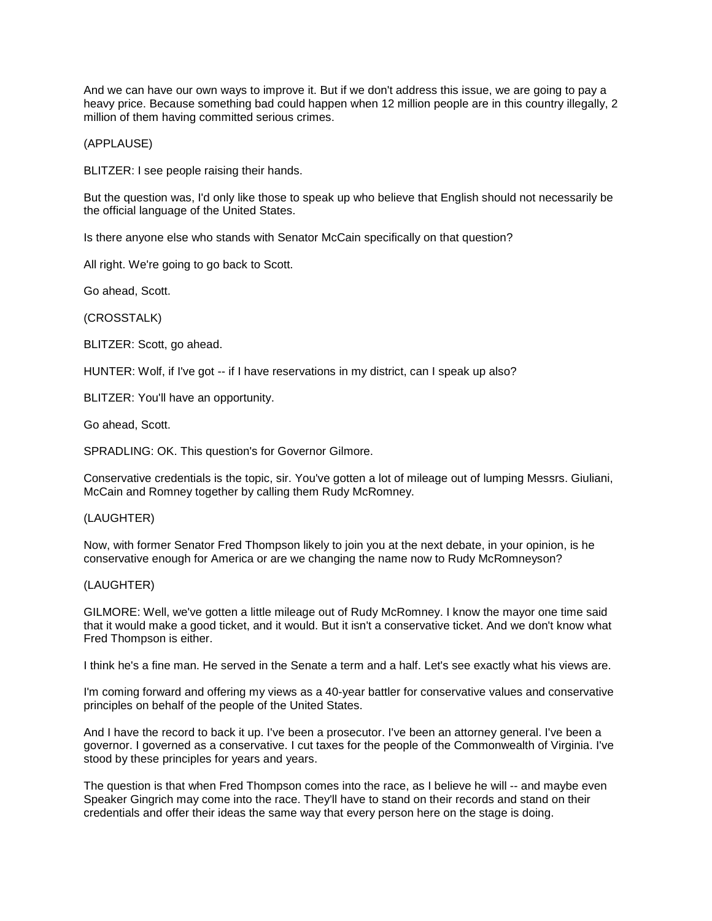And we can have our own ways to improve it. But if we don't address this issue, we are going to pay a heavy price. Because something bad could happen when 12 million people are in this country illegally, 2 million of them having committed serious crimes.

(APPLAUSE)

BLITZER: I see people raising their hands.

But the question was, I'd only like those to speak up who believe that English should not necessarily be the official language of the United States.

Is there anyone else who stands with Senator McCain specifically on that question?

All right. We're going to go back to Scott.

Go ahead, Scott.

(CROSSTALK)

BLITZER: Scott, go ahead.

HUNTER: Wolf, if I've got -- if I have reservations in my district, can I speak up also?

BLITZER: You'll have an opportunity.

Go ahead, Scott.

SPRADLING: OK. This question's for Governor Gilmore.

Conservative credentials is the topic, sir. You've gotten a lot of mileage out of lumping Messrs. Giuliani, McCain and Romney together by calling them Rudy McRomney.

## (LAUGHTER)

Now, with former Senator Fred Thompson likely to join you at the next debate, in your opinion, is he conservative enough for America or are we changing the name now to Rudy McRomneyson?

### (LAUGHTER)

GILMORE: Well, we've gotten a little mileage out of Rudy McRomney. I know the mayor one time said that it would make a good ticket, and it would. But it isn't a conservative ticket. And we don't know what Fred Thompson is either.

I think he's a fine man. He served in the Senate a term and a half. Let's see exactly what his views are.

I'm coming forward and offering my views as a 40-year battler for conservative values and conservative principles on behalf of the people of the United States.

And I have the record to back it up. I've been a prosecutor. I've been an attorney general. I've been a governor. I governed as a conservative. I cut taxes for the people of the Commonwealth of Virginia. I've stood by these principles for years and years.

The question is that when Fred Thompson comes into the race, as I believe he will -- and maybe even Speaker Gingrich may come into the race. They'll have to stand on their records and stand on their credentials and offer their ideas the same way that every person here on the stage is doing.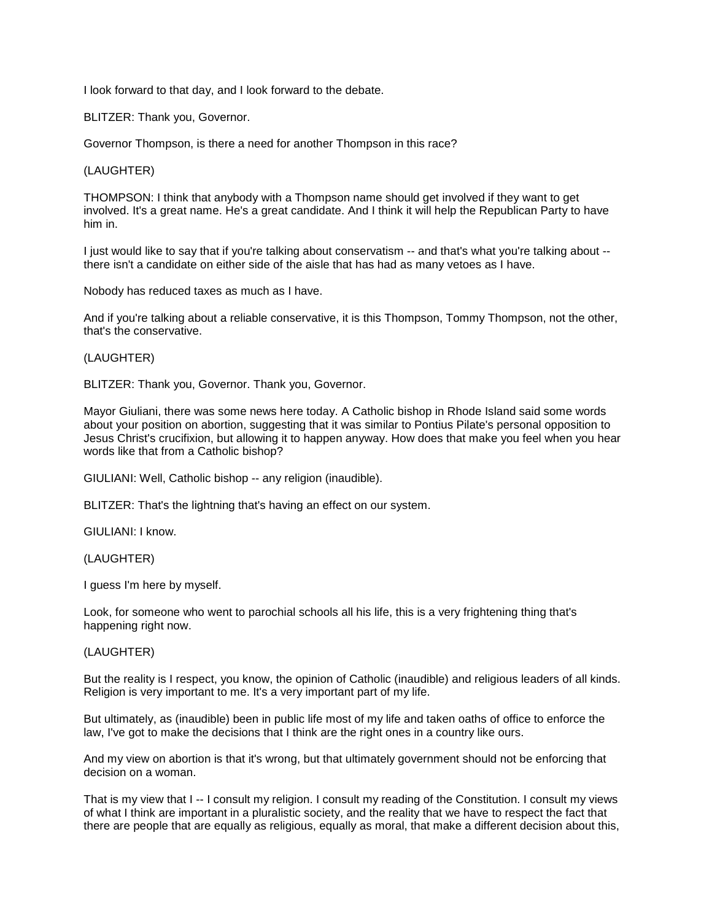I look forward to that day, and I look forward to the debate.

BLITZER: Thank you, Governor.

Governor Thompson, is there a need for another Thompson in this race?

# (LAUGHTER)

THOMPSON: I think that anybody with a Thompson name should get involved if they want to get involved. It's a great name. He's a great candidate. And I think it will help the Republican Party to have him in.

I just would like to say that if you're talking about conservatism -- and that's what you're talking about - there isn't a candidate on either side of the aisle that has had as many vetoes as I have.

Nobody has reduced taxes as much as I have.

And if you're talking about a reliable conservative, it is this Thompson, Tommy Thompson, not the other, that's the conservative.

# (LAUGHTER)

BLITZER: Thank you, Governor. Thank you, Governor.

Mayor Giuliani, there was some news here today. A Catholic bishop in Rhode Island said some words about your position on abortion, suggesting that it was similar to Pontius Pilate's personal opposition to Jesus Christ's crucifixion, but allowing it to happen anyway. How does that make you feel when you hear words like that from a Catholic bishop?

GIULIANI: Well, Catholic bishop -- any religion (inaudible).

BLITZER: That's the lightning that's having an effect on our system.

GIULIANI: I know.

# (LAUGHTER)

I guess I'm here by myself.

Look, for someone who went to parochial schools all his life, this is a very frightening thing that's happening right now.

# (LAUGHTER)

But the reality is I respect, you know, the opinion of Catholic (inaudible) and religious leaders of all kinds. Religion is very important to me. It's a very important part of my life.

But ultimately, as (inaudible) been in public life most of my life and taken oaths of office to enforce the law, I've got to make the decisions that I think are the right ones in a country like ours.

And my view on abortion is that it's wrong, but that ultimately government should not be enforcing that decision on a woman.

That is my view that I -- I consult my religion. I consult my reading of the Constitution. I consult my views of what I think are important in a pluralistic society, and the reality that we have to respect the fact that there are people that are equally as religious, equally as moral, that make a different decision about this,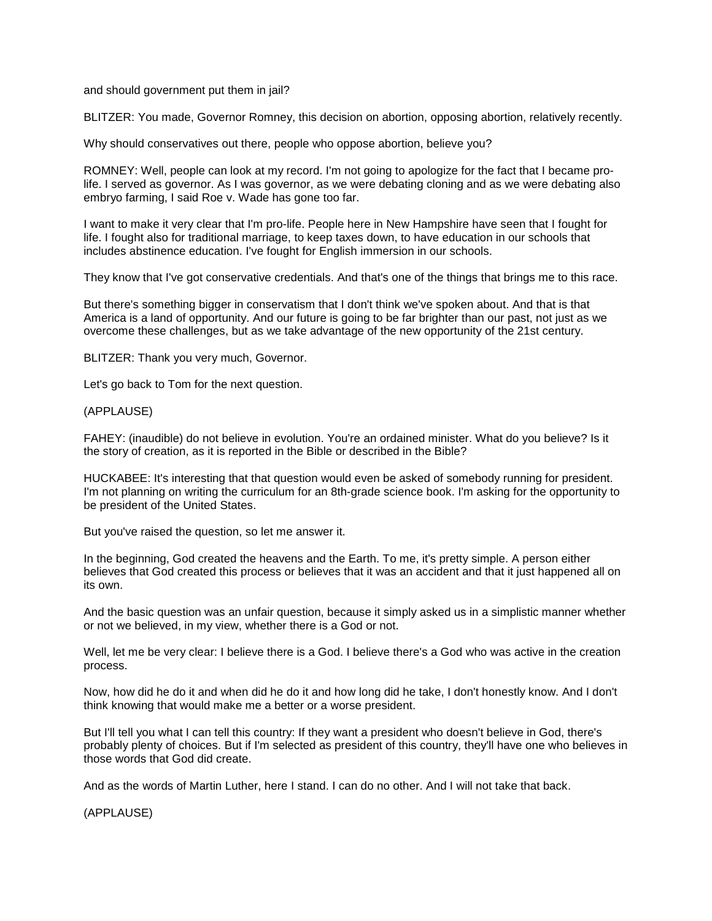and should government put them in jail?

BLITZER: You made, Governor Romney, this decision on abortion, opposing abortion, relatively recently.

Why should conservatives out there, people who oppose abortion, believe you?

ROMNEY: Well, people can look at my record. I'm not going to apologize for the fact that I became prolife. I served as governor. As I was governor, as we were debating cloning and as we were debating also embryo farming, I said Roe v. Wade has gone too far.

I want to make it very clear that I'm pro-life. People here in New Hampshire have seen that I fought for life. I fought also for traditional marriage, to keep taxes down, to have education in our schools that includes abstinence education. I've fought for English immersion in our schools.

They know that I've got conservative credentials. And that's one of the things that brings me to this race.

But there's something bigger in conservatism that I don't think we've spoken about. And that is that America is a land of opportunity. And our future is going to be far brighter than our past, not just as we overcome these challenges, but as we take advantage of the new opportunity of the 21st century.

BLITZER: Thank you very much, Governor.

Let's go back to Tom for the next question.

# (APPLAUSE)

FAHEY: (inaudible) do not believe in evolution. You're an ordained minister. What do you believe? Is it the story of creation, as it is reported in the Bible or described in the Bible?

HUCKABEE: It's interesting that that question would even be asked of somebody running for president. I'm not planning on writing the curriculum for an 8th-grade science book. I'm asking for the opportunity to be president of the United States.

But you've raised the question, so let me answer it.

In the beginning, God created the heavens and the Earth. To me, it's pretty simple. A person either believes that God created this process or believes that it was an accident and that it just happened all on its own.

And the basic question was an unfair question, because it simply asked us in a simplistic manner whether or not we believed, in my view, whether there is a God or not.

Well, let me be very clear: I believe there is a God. I believe there's a God who was active in the creation process.

Now, how did he do it and when did he do it and how long did he take, I don't honestly know. And I don't think knowing that would make me a better or a worse president.

But I'll tell you what I can tell this country: If they want a president who doesn't believe in God, there's probably plenty of choices. But if I'm selected as president of this country, they'll have one who believes in those words that God did create.

And as the words of Martin Luther, here I stand. I can do no other. And I will not take that back.

(APPLAUSE)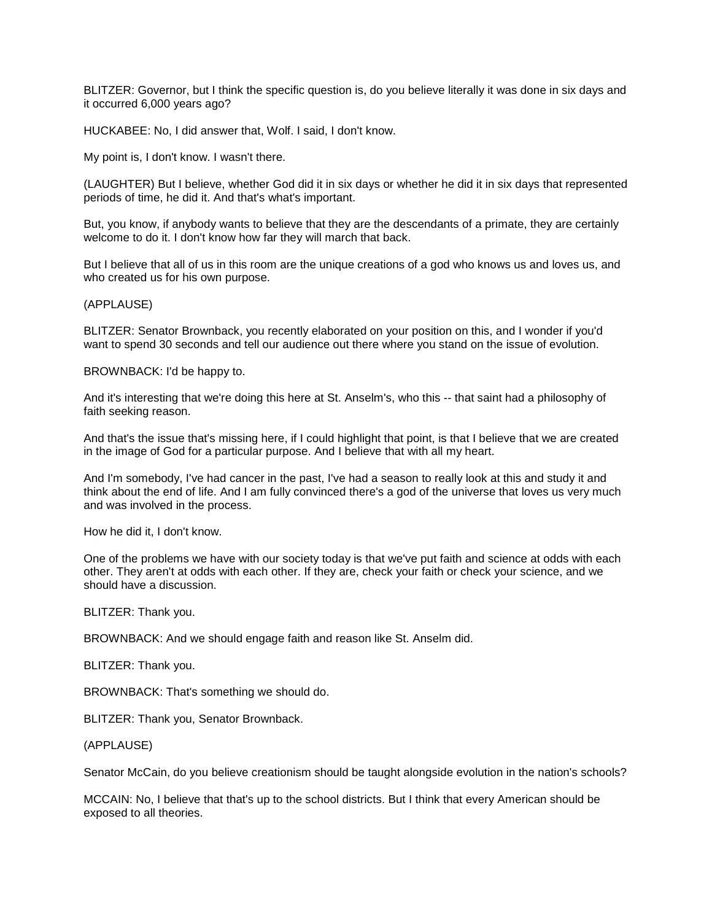BLITZER: Governor, but I think the specific question is, do you believe literally it was done in six days and it occurred 6,000 years ago?

HUCKABEE: No, I did answer that, Wolf. I said, I don't know.

My point is, I don't know. I wasn't there.

(LAUGHTER) But I believe, whether God did it in six days or whether he did it in six days that represented periods of time, he did it. And that's what's important.

But, you know, if anybody wants to believe that they are the descendants of a primate, they are certainly welcome to do it. I don't know how far they will march that back.

But I believe that all of us in this room are the unique creations of a god who knows us and loves us, and who created us for his own purpose.

(APPLAUSE)

BLITZER: Senator Brownback, you recently elaborated on your position on this, and I wonder if you'd want to spend 30 seconds and tell our audience out there where you stand on the issue of evolution.

### BROWNBACK: I'd be happy to.

And it's interesting that we're doing this here at St. Anselm's, who this -- that saint had a philosophy of faith seeking reason.

And that's the issue that's missing here, if I could highlight that point, is that I believe that we are created in the image of God for a particular purpose. And I believe that with all my heart.

And I'm somebody, I've had cancer in the past, I've had a season to really look at this and study it and think about the end of life. And I am fully convinced there's a god of the universe that loves us very much and was involved in the process.

How he did it, I don't know.

One of the problems we have with our society today is that we've put faith and science at odds with each other. They aren't at odds with each other. If they are, check your faith or check your science, and we should have a discussion.

BLITZER: Thank you.

BROWNBACK: And we should engage faith and reason like St. Anselm did.

BLITZER: Thank you.

BROWNBACK: That's something we should do.

BLITZER: Thank you, Senator Brownback.

(APPLAUSE)

Senator McCain, do you believe creationism should be taught alongside evolution in the nation's schools?

MCCAIN: No, I believe that that's up to the school districts. But I think that every American should be exposed to all theories.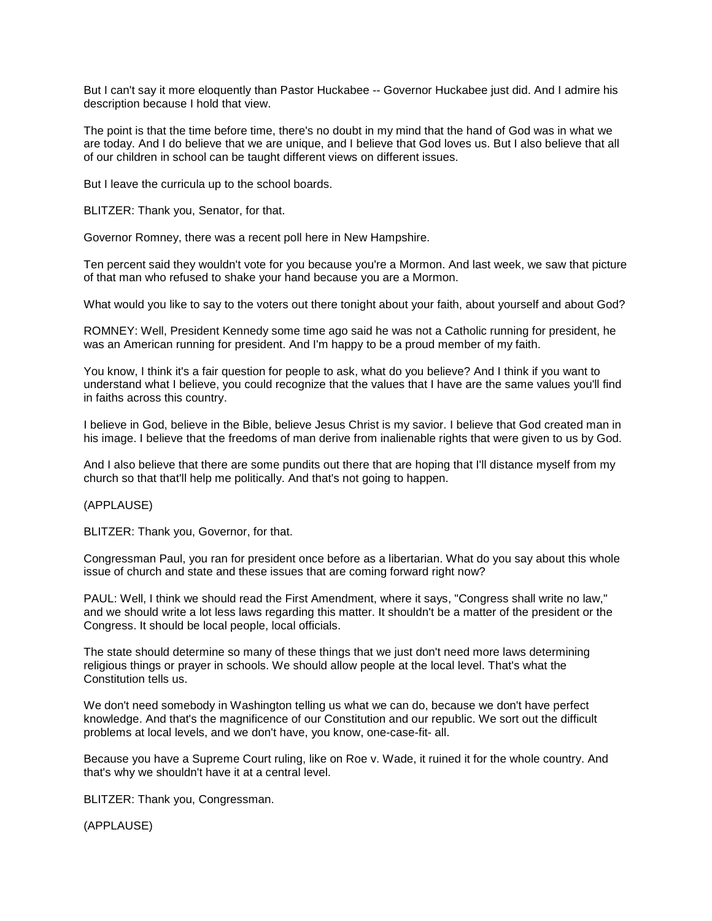But I can't say it more eloquently than Pastor Huckabee -- Governor Huckabee just did. And I admire his description because I hold that view.

The point is that the time before time, there's no doubt in my mind that the hand of God was in what we are today. And I do believe that we are unique, and I believe that God loves us. But I also believe that all of our children in school can be taught different views on different issues.

But I leave the curricula up to the school boards.

BLITZER: Thank you, Senator, for that.

Governor Romney, there was a recent poll here in New Hampshire.

Ten percent said they wouldn't vote for you because you're a Mormon. And last week, we saw that picture of that man who refused to shake your hand because you are a Mormon.

What would you like to say to the voters out there tonight about your faith, about yourself and about God?

ROMNEY: Well, President Kennedy some time ago said he was not a Catholic running for president, he was an American running for president. And I'm happy to be a proud member of my faith.

You know, I think it's a fair question for people to ask, what do you believe? And I think if you want to understand what I believe, you could recognize that the values that I have are the same values you'll find in faiths across this country.

I believe in God, believe in the Bible, believe Jesus Christ is my savior. I believe that God created man in his image. I believe that the freedoms of man derive from inalienable rights that were given to us by God.

And I also believe that there are some pundits out there that are hoping that I'll distance myself from my church so that that'll help me politically. And that's not going to happen.

(APPLAUSE)

BLITZER: Thank you, Governor, for that.

Congressman Paul, you ran for president once before as a libertarian. What do you say about this whole issue of church and state and these issues that are coming forward right now?

PAUL: Well, I think we should read the First Amendment, where it says, "Congress shall write no law," and we should write a lot less laws regarding this matter. It shouldn't be a matter of the president or the Congress. It should be local people, local officials.

The state should determine so many of these things that we just don't need more laws determining religious things or prayer in schools. We should allow people at the local level. That's what the Constitution tells us.

We don't need somebody in Washington telling us what we can do, because we don't have perfect knowledge. And that's the magnificence of our Constitution and our republic. We sort out the difficult problems at local levels, and we don't have, you know, one-case-fit- all.

Because you have a Supreme Court ruling, like on Roe v. Wade, it ruined it for the whole country. And that's why we shouldn't have it at a central level.

BLITZER: Thank you, Congressman.

(APPLAUSE)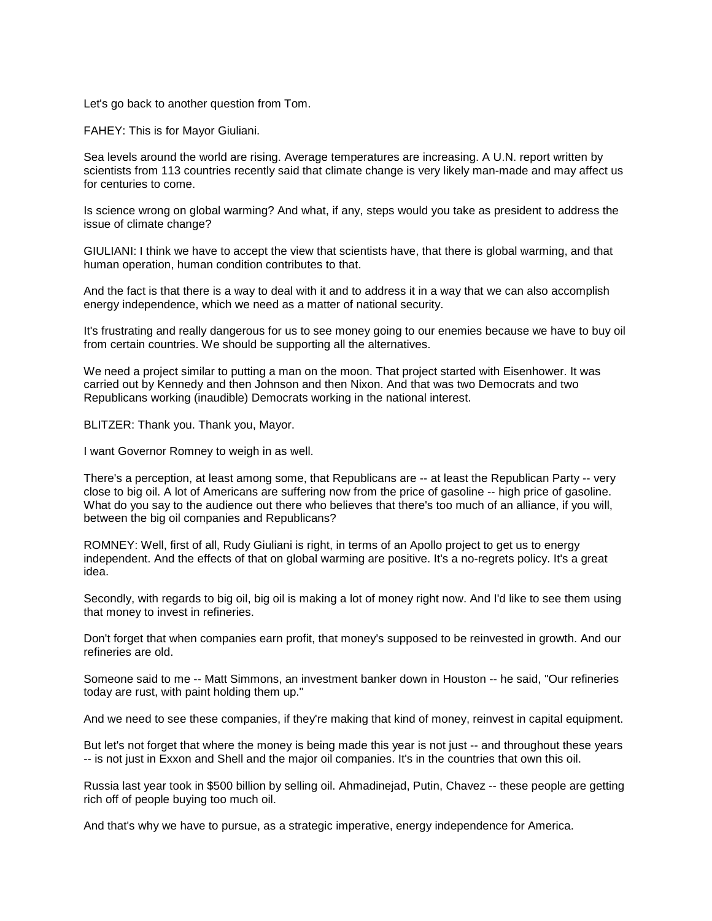Let's go back to another question from Tom.

FAHEY: This is for Mayor Giuliani.

Sea levels around the world are rising. Average temperatures are increasing. A U.N. report written by scientists from 113 countries recently said that climate change is very likely man-made and may affect us for centuries to come.

Is science wrong on global warming? And what, if any, steps would you take as president to address the issue of climate change?

GIULIANI: I think we have to accept the view that scientists have, that there is global warming, and that human operation, human condition contributes to that.

And the fact is that there is a way to deal with it and to address it in a way that we can also accomplish energy independence, which we need as a matter of national security.

It's frustrating and really dangerous for us to see money going to our enemies because we have to buy oil from certain countries. We should be supporting all the alternatives.

We need a project similar to putting a man on the moon. That project started with Eisenhower. It was carried out by Kennedy and then Johnson and then Nixon. And that was two Democrats and two Republicans working (inaudible) Democrats working in the national interest.

BLITZER: Thank you. Thank you, Mayor.

I want Governor Romney to weigh in as well.

There's a perception, at least among some, that Republicans are -- at least the Republican Party -- very close to big oil. A lot of Americans are suffering now from the price of gasoline -- high price of gasoline. What do you say to the audience out there who believes that there's too much of an alliance, if you will, between the big oil companies and Republicans?

ROMNEY: Well, first of all, Rudy Giuliani is right, in terms of an Apollo project to get us to energy independent. And the effects of that on global warming are positive. It's a no-regrets policy. It's a great idea.

Secondly, with regards to big oil, big oil is making a lot of money right now. And I'd like to see them using that money to invest in refineries.

Don't forget that when companies earn profit, that money's supposed to be reinvested in growth. And our refineries are old.

Someone said to me -- Matt Simmons, an investment banker down in Houston -- he said, "Our refineries today are rust, with paint holding them up."

And we need to see these companies, if they're making that kind of money, reinvest in capital equipment.

But let's not forget that where the money is being made this year is not just -- and throughout these years -- is not just in Exxon and Shell and the major oil companies. It's in the countries that own this oil.

Russia last year took in \$500 billion by selling oil. Ahmadinejad, Putin, Chavez -- these people are getting rich off of people buying too much oil.

And that's why we have to pursue, as a strategic imperative, energy independence for America.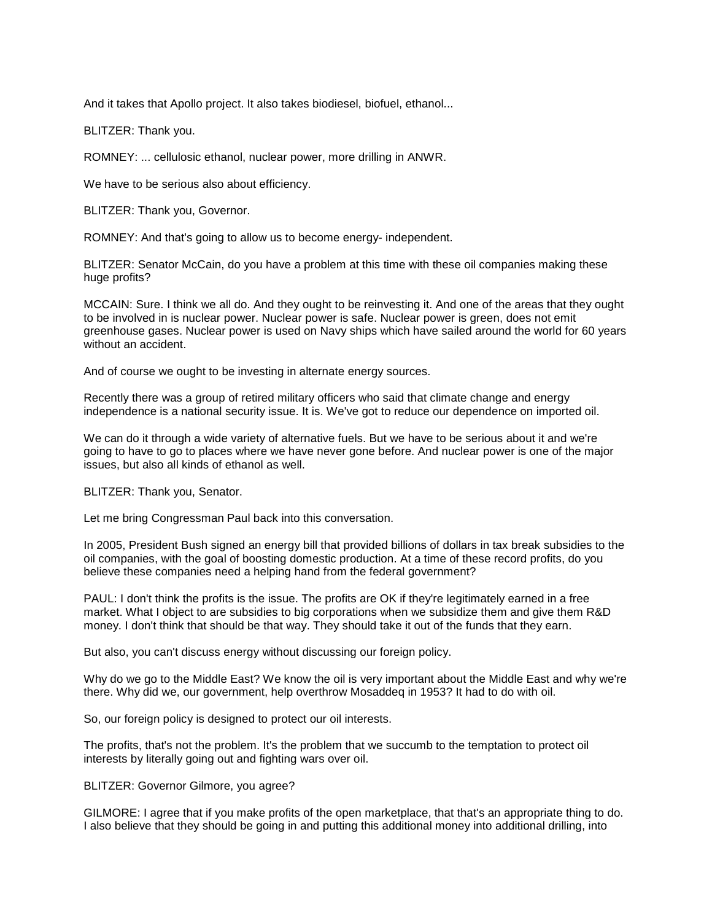And it takes that Apollo project. It also takes biodiesel, biofuel, ethanol...

BLITZER: Thank you.

ROMNEY: ... cellulosic ethanol, nuclear power, more drilling in ANWR.

We have to be serious also about efficiency.

BLITZER: Thank you, Governor.

ROMNEY: And that's going to allow us to become energy- independent.

BLITZER: Senator McCain, do you have a problem at this time with these oil companies making these huge profits?

MCCAIN: Sure. I think we all do. And they ought to be reinvesting it. And one of the areas that they ought to be involved in is nuclear power. Nuclear power is safe. Nuclear power is green, does not emit greenhouse gases. Nuclear power is used on Navy ships which have sailed around the world for 60 years without an accident.

And of course we ought to be investing in alternate energy sources.

Recently there was a group of retired military officers who said that climate change and energy independence is a national security issue. It is. We've got to reduce our dependence on imported oil.

We can do it through a wide variety of alternative fuels. But we have to be serious about it and we're going to have to go to places where we have never gone before. And nuclear power is one of the major issues, but also all kinds of ethanol as well.

BLITZER: Thank you, Senator.

Let me bring Congressman Paul back into this conversation.

In 2005, President Bush signed an energy bill that provided billions of dollars in tax break subsidies to the oil companies, with the goal of boosting domestic production. At a time of these record profits, do you believe these companies need a helping hand from the federal government?

PAUL: I don't think the profits is the issue. The profits are OK if they're legitimately earned in a free market. What I object to are subsidies to big corporations when we subsidize them and give them R&D money. I don't think that should be that way. They should take it out of the funds that they earn.

But also, you can't discuss energy without discussing our foreign policy.

Why do we go to the Middle East? We know the oil is very important about the Middle East and why we're there. Why did we, our government, help overthrow Mosaddeq in 1953? It had to do with oil.

So, our foreign policy is designed to protect our oil interests.

The profits, that's not the problem. It's the problem that we succumb to the temptation to protect oil interests by literally going out and fighting wars over oil.

BLITZER: Governor Gilmore, you agree?

GILMORE: I agree that if you make profits of the open marketplace, that that's an appropriate thing to do. I also believe that they should be going in and putting this additional money into additional drilling, into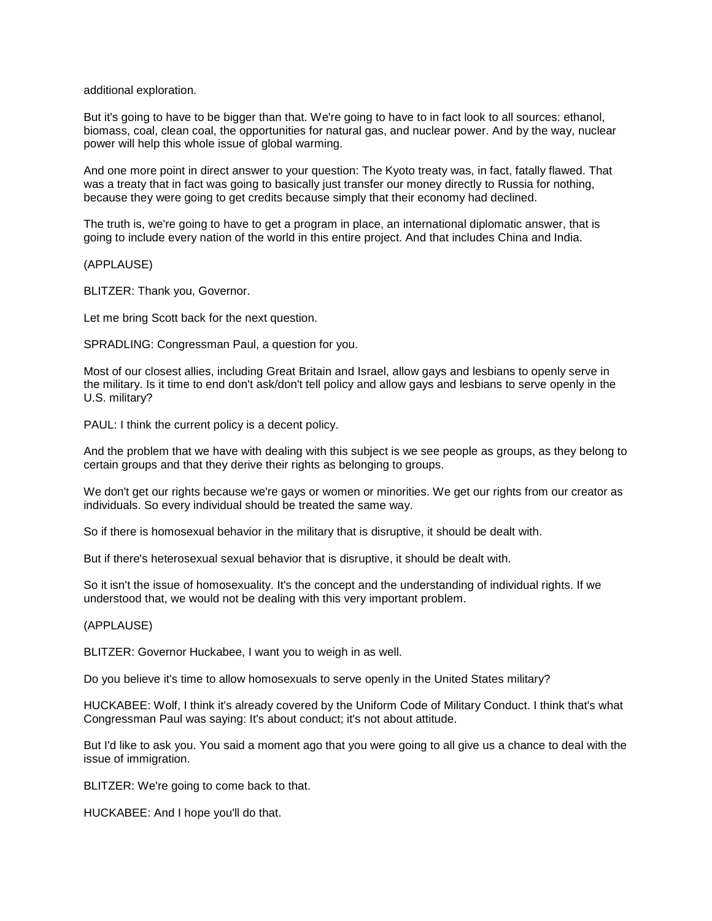additional exploration.

But it's going to have to be bigger than that. We're going to have to in fact look to all sources: ethanol, biomass, coal, clean coal, the opportunities for natural gas, and nuclear power. And by the way, nuclear power will help this whole issue of global warming.

And one more point in direct answer to your question: The Kyoto treaty was, in fact, fatally flawed. That was a treaty that in fact was going to basically just transfer our money directly to Russia for nothing, because they were going to get credits because simply that their economy had declined.

The truth is, we're going to have to get a program in place, an international diplomatic answer, that is going to include every nation of the world in this entire project. And that includes China and India.

(APPLAUSE)

BLITZER: Thank you, Governor.

Let me bring Scott back for the next question.

SPRADLING: Congressman Paul, a question for you.

Most of our closest allies, including Great Britain and Israel, allow gays and lesbians to openly serve in the military. Is it time to end don't ask/don't tell policy and allow gays and lesbians to serve openly in the U.S. military?

PAUL: I think the current policy is a decent policy.

And the problem that we have with dealing with this subject is we see people as groups, as they belong to certain groups and that they derive their rights as belonging to groups.

We don't get our rights because we're gays or women or minorities. We get our rights from our creator as individuals. So every individual should be treated the same way.

So if there is homosexual behavior in the military that is disruptive, it should be dealt with.

But if there's heterosexual sexual behavior that is disruptive, it should be dealt with.

So it isn't the issue of homosexuality. It's the concept and the understanding of individual rights. If we understood that, we would not be dealing with this very important problem.

### (APPLAUSE)

BLITZER: Governor Huckabee, I want you to weigh in as well.

Do you believe it's time to allow homosexuals to serve openly in the United States military?

HUCKABEE: Wolf, I think it's already covered by the Uniform Code of Military Conduct. I think that's what Congressman Paul was saying: It's about conduct; it's not about attitude.

But I'd like to ask you. You said a moment ago that you were going to all give us a chance to deal with the issue of immigration.

BLITZER: We're going to come back to that.

HUCKABEE: And I hope you'll do that.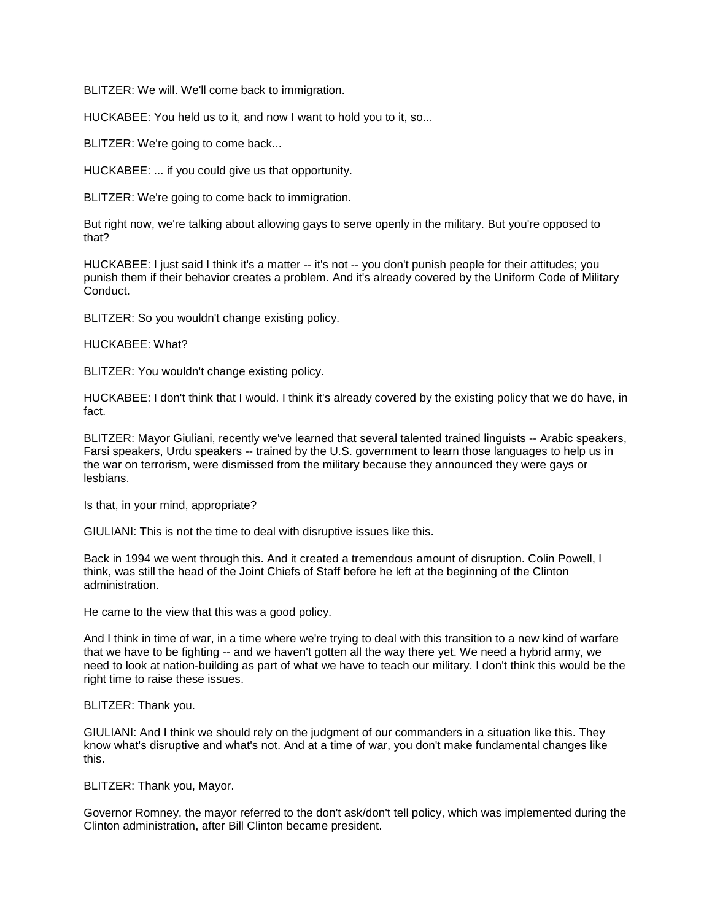BLITZER: We will. We'll come back to immigration.

HUCKABEE: You held us to it, and now I want to hold you to it, so...

BLITZER: We're going to come back...

HUCKABEE: ... if you could give us that opportunity.

BLITZER: We're going to come back to immigration.

But right now, we're talking about allowing gays to serve openly in the military. But you're opposed to that?

HUCKABEE: I just said I think it's a matter -- it's not -- you don't punish people for their attitudes; you punish them if their behavior creates a problem. And it's already covered by the Uniform Code of Military Conduct.

BLITZER: So you wouldn't change existing policy.

HUCKABEE: What?

BLITZER: You wouldn't change existing policy.

HUCKABEE: I don't think that I would. I think it's already covered by the existing policy that we do have, in fact.

BLITZER: Mayor Giuliani, recently we've learned that several talented trained linguists -- Arabic speakers, Farsi speakers, Urdu speakers -- trained by the U.S. government to learn those languages to help us in the war on terrorism, were dismissed from the military because they announced they were gays or lesbians.

Is that, in your mind, appropriate?

GIULIANI: This is not the time to deal with disruptive issues like this.

Back in 1994 we went through this. And it created a tremendous amount of disruption. Colin Powell, I think, was still the head of the Joint Chiefs of Staff before he left at the beginning of the Clinton administration.

He came to the view that this was a good policy.

And I think in time of war, in a time where we're trying to deal with this transition to a new kind of warfare that we have to be fighting -- and we haven't gotten all the way there yet. We need a hybrid army, we need to look at nation-building as part of what we have to teach our military. I don't think this would be the right time to raise these issues.

BLITZER: Thank you.

GIULIANI: And I think we should rely on the judgment of our commanders in a situation like this. They know what's disruptive and what's not. And at a time of war, you don't make fundamental changes like this.

BLITZER: Thank you, Mayor.

Governor Romney, the mayor referred to the don't ask/don't tell policy, which was implemented during the Clinton administration, after Bill Clinton became president.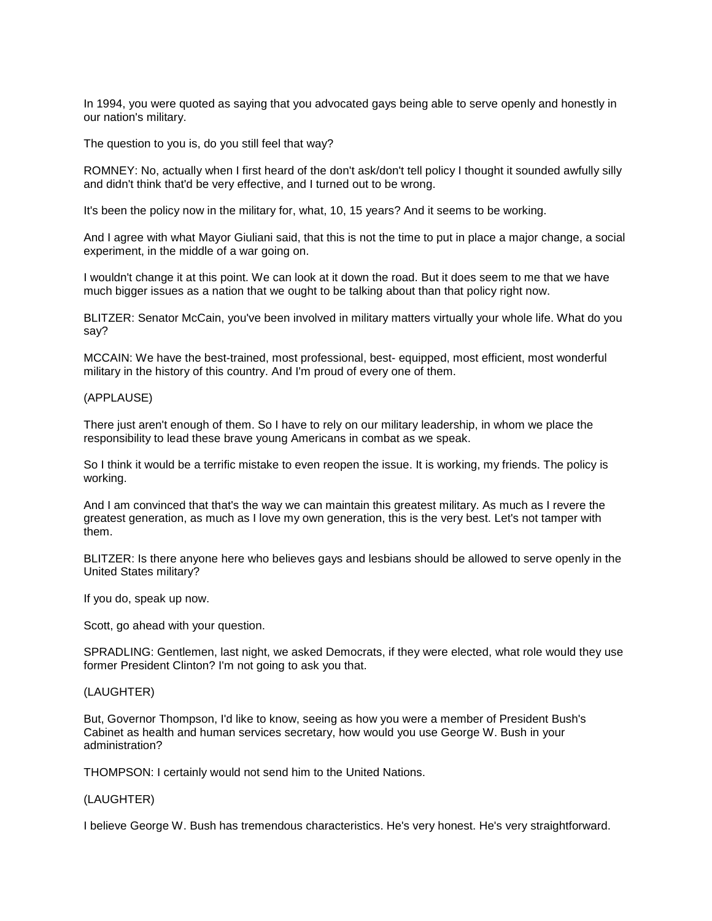In 1994, you were quoted as saying that you advocated gays being able to serve openly and honestly in our nation's military.

The question to you is, do you still feel that way?

ROMNEY: No, actually when I first heard of the don't ask/don't tell policy I thought it sounded awfully silly and didn't think that'd be very effective, and I turned out to be wrong.

It's been the policy now in the military for, what, 10, 15 years? And it seems to be working.

And I agree with what Mayor Giuliani said, that this is not the time to put in place a major change, a social experiment, in the middle of a war going on.

I wouldn't change it at this point. We can look at it down the road. But it does seem to me that we have much bigger issues as a nation that we ought to be talking about than that policy right now.

BLITZER: Senator McCain, you've been involved in military matters virtually your whole life. What do you say?

MCCAIN: We have the best-trained, most professional, best- equipped, most efficient, most wonderful military in the history of this country. And I'm proud of every one of them.

#### (APPLAUSE)

There just aren't enough of them. So I have to rely on our military leadership, in whom we place the responsibility to lead these brave young Americans in combat as we speak.

So I think it would be a terrific mistake to even reopen the issue. It is working, my friends. The policy is working.

And I am convinced that that's the way we can maintain this greatest military. As much as I revere the greatest generation, as much as I love my own generation, this is the very best. Let's not tamper with them.

BLITZER: Is there anyone here who believes gays and lesbians should be allowed to serve openly in the United States military?

If you do, speak up now.

Scott, go ahead with your question.

SPRADLING: Gentlemen, last night, we asked Democrats, if they were elected, what role would they use former President Clinton? I'm not going to ask you that.

# (LAUGHTER)

But, Governor Thompson, I'd like to know, seeing as how you were a member of President Bush's Cabinet as health and human services secretary, how would you use George W. Bush in your administration?

THOMPSON: I certainly would not send him to the United Nations.

# (LAUGHTER)

I believe George W. Bush has tremendous characteristics. He's very honest. He's very straightforward.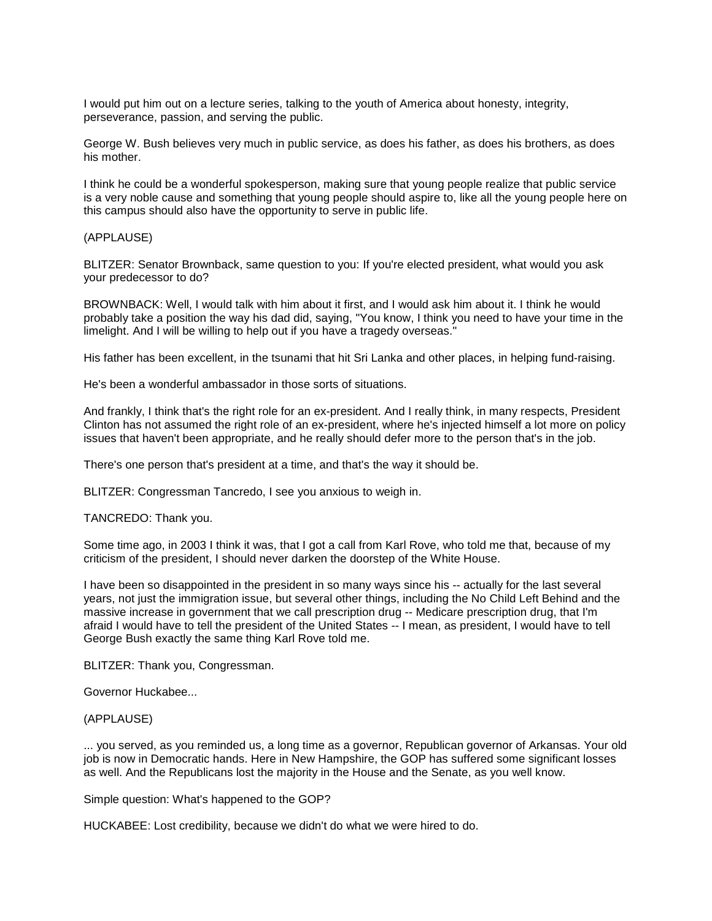I would put him out on a lecture series, talking to the youth of America about honesty, integrity, perseverance, passion, and serving the public.

George W. Bush believes very much in public service, as does his father, as does his brothers, as does his mother.

I think he could be a wonderful spokesperson, making sure that young people realize that public service is a very noble cause and something that young people should aspire to, like all the young people here on this campus should also have the opportunity to serve in public life.

# (APPLAUSE)

BLITZER: Senator Brownback, same question to you: If you're elected president, what would you ask your predecessor to do?

BROWNBACK: Well, I would talk with him about it first, and I would ask him about it. I think he would probably take a position the way his dad did, saying, "You know, I think you need to have your time in the limelight. And I will be willing to help out if you have a tragedy overseas."

His father has been excellent, in the tsunami that hit Sri Lanka and other places, in helping fund-raising.

He's been a wonderful ambassador in those sorts of situations.

And frankly, I think that's the right role for an ex-president. And I really think, in many respects, President Clinton has not assumed the right role of an ex-president, where he's injected himself a lot more on policy issues that haven't been appropriate, and he really should defer more to the person that's in the job.

There's one person that's president at a time, and that's the way it should be.

BLITZER: Congressman Tancredo, I see you anxious to weigh in.

TANCREDO: Thank you.

Some time ago, in 2003 I think it was, that I got a call from Karl Rove, who told me that, because of my criticism of the president, I should never darken the doorstep of the White House.

I have been so disappointed in the president in so many ways since his -- actually for the last several years, not just the immigration issue, but several other things, including the No Child Left Behind and the massive increase in government that we call prescription drug -- Medicare prescription drug, that I'm afraid I would have to tell the president of the United States -- I mean, as president, I would have to tell George Bush exactly the same thing Karl Rove told me.

BLITZER: Thank you, Congressman.

Governor Huckabee...

(APPLAUSE)

... you served, as you reminded us, a long time as a governor, Republican governor of Arkansas. Your old job is now in Democratic hands. Here in New Hampshire, the GOP has suffered some significant losses as well. And the Republicans lost the majority in the House and the Senate, as you well know.

Simple question: What's happened to the GOP?

HUCKABEE: Lost credibility, because we didn't do what we were hired to do.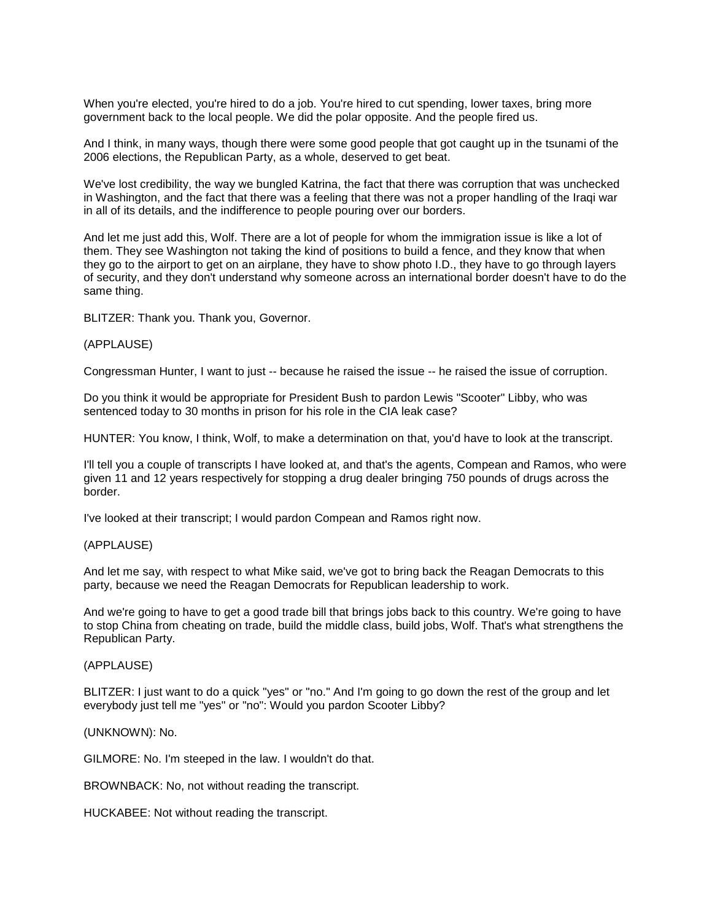When you're elected, you're hired to do a job. You're hired to cut spending, lower taxes, bring more government back to the local people. We did the polar opposite. And the people fired us.

And I think, in many ways, though there were some good people that got caught up in the tsunami of the 2006 elections, the Republican Party, as a whole, deserved to get beat.

We've lost credibility, the way we bungled Katrina, the fact that there was corruption that was unchecked in Washington, and the fact that there was a feeling that there was not a proper handling of the Iraqi war in all of its details, and the indifference to people pouring over our borders.

And let me just add this, Wolf. There are a lot of people for whom the immigration issue is like a lot of them. They see Washington not taking the kind of positions to build a fence, and they know that when they go to the airport to get on an airplane, they have to show photo I.D., they have to go through layers of security, and they don't understand why someone across an international border doesn't have to do the same thing.

BLITZER: Thank you. Thank you, Governor.

### (APPLAUSE)

Congressman Hunter, I want to just -- because he raised the issue -- he raised the issue of corruption.

Do you think it would be appropriate for President Bush to pardon Lewis "Scooter" Libby, who was sentenced today to 30 months in prison for his role in the CIA leak case?

HUNTER: You know, I think, Wolf, to make a determination on that, you'd have to look at the transcript.

I'll tell you a couple of transcripts I have looked at, and that's the agents, Compean and Ramos, who were given 11 and 12 years respectively for stopping a drug dealer bringing 750 pounds of drugs across the border.

I've looked at their transcript; I would pardon Compean and Ramos right now.

### (APPLAUSE)

And let me say, with respect to what Mike said, we've got to bring back the Reagan Democrats to this party, because we need the Reagan Democrats for Republican leadership to work.

And we're going to have to get a good trade bill that brings jobs back to this country. We're going to have to stop China from cheating on trade, build the middle class, build jobs, Wolf. That's what strengthens the Republican Party.

# (APPLAUSE)

BLITZER: I just want to do a quick "yes" or "no." And I'm going to go down the rest of the group and let everybody just tell me "yes" or "no": Would you pardon Scooter Libby?

### (UNKNOWN): No.

GILMORE: No. I'm steeped in the law. I wouldn't do that.

BROWNBACK: No, not without reading the transcript.

HUCKABEE: Not without reading the transcript.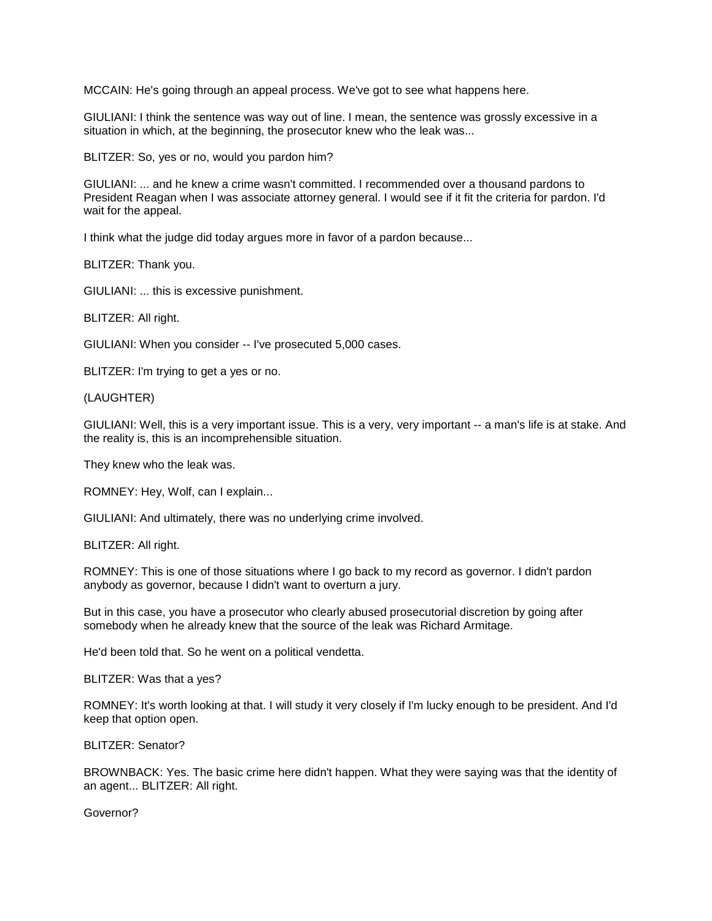MCCAIN: He's going through an appeal process. We've got to see what happens here.

GIULIANI: I think the sentence was way out of line. I mean, the sentence was grossly excessive in a situation in which, at the beginning, the prosecutor knew who the leak was...

BLITZER: So, yes or no, would you pardon him?

GIULIANI: ... and he knew a crime wasn't committed. I recommended over a thousand pardons to President Reagan when I was associate attorney general. I would see if it fit the criteria for pardon. I'd wait for the appeal.

I think what the judge did today argues more in favor of a pardon because...

BLITZER: Thank you.

GIULIANI: ... this is excessive punishment.

BLITZER: All right.

GIULIANI: When you consider -- I've prosecuted 5,000 cases.

BLITZER: I'm trying to get a yes or no.

# (LAUGHTER)

GIULIANI: Well, this is a very important issue. This is a very, very important -- a man's life is at stake. And the reality is, this is an incomprehensible situation.

They knew who the leak was.

ROMNEY: Hey, Wolf, can I explain...

GIULIANI: And ultimately, there was no underlying crime involved.

BLITZER: All right.

ROMNEY: This is one of those situations where I go back to my record as governor. I didn't pardon anybody as governor, because I didn't want to overturn a jury.

But in this case, you have a prosecutor who clearly abused prosecutorial discretion by going after somebody when he already knew that the source of the leak was Richard Armitage.

He'd been told that. So he went on a political vendetta.

BLITZER: Was that a yes?

ROMNEY: It's worth looking at that. I will study it very closely if I'm lucky enough to be president. And I'd keep that option open.

# BLITZER: Senator?

BROWNBACK: Yes. The basic crime here didn't happen. What they were saying was that the identity of an agent... BLITZER: All right.

Governor?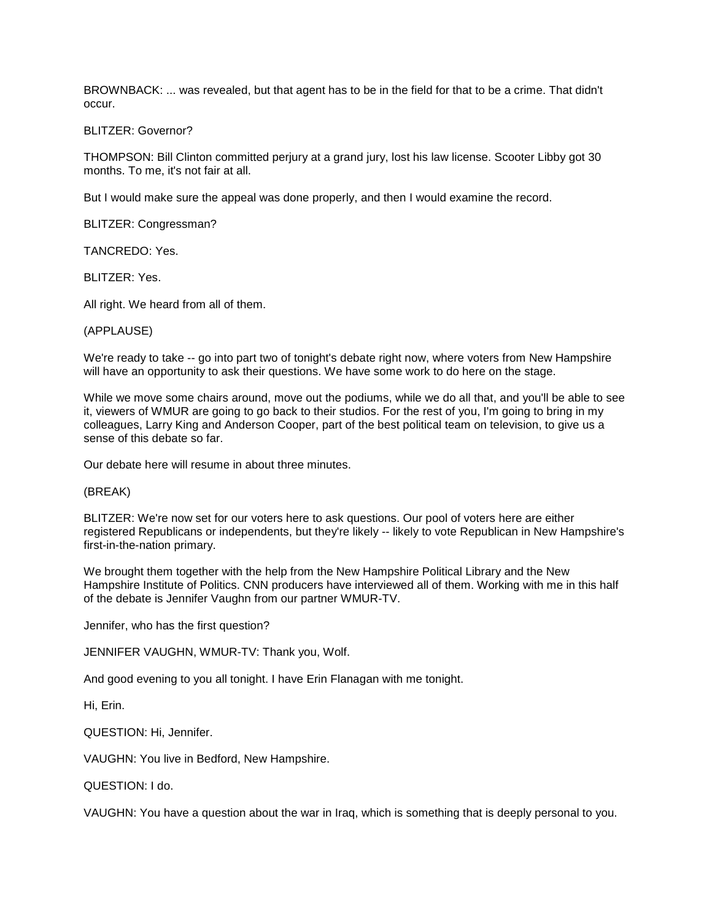BROWNBACK: ... was revealed, but that agent has to be in the field for that to be a crime. That didn't occur.

# BLITZER: Governor?

THOMPSON: Bill Clinton committed perjury at a grand jury, lost his law license. Scooter Libby got 30 months. To me, it's not fair at all.

But I would make sure the appeal was done properly, and then I would examine the record.

BLITZER: Congressman?

TANCREDO: Yes.

BLITZER: Yes.

All right. We heard from all of them.

### (APPLAUSE)

We're ready to take -- go into part two of tonight's debate right now, where voters from New Hampshire will have an opportunity to ask their questions. We have some work to do here on the stage.

While we move some chairs around, move out the podiums, while we do all that, and you'll be able to see it, viewers of WMUR are going to go back to their studios. For the rest of you, I'm going to bring in my colleagues, Larry King and Anderson Cooper, part of the best political team on television, to give us a sense of this debate so far.

Our debate here will resume in about three minutes.

## (BREAK)

BLITZER: We're now set for our voters here to ask questions. Our pool of voters here are either registered Republicans or independents, but they're likely -- likely to vote Republican in New Hampshire's first-in-the-nation primary.

We brought them together with the help from the New Hampshire Political Library and the New Hampshire Institute of Politics. CNN producers have interviewed all of them. Working with me in this half of the debate is Jennifer Vaughn from our partner WMUR-TV.

Jennifer, who has the first question?

JENNIFER VAUGHN, WMUR-TV: Thank you, Wolf.

And good evening to you all tonight. I have Erin Flanagan with me tonight.

Hi, Erin.

QUESTION: Hi, Jennifer.

VAUGHN: You live in Bedford, New Hampshire.

QUESTION: I do.

VAUGHN: You have a question about the war in Iraq, which is something that is deeply personal to you.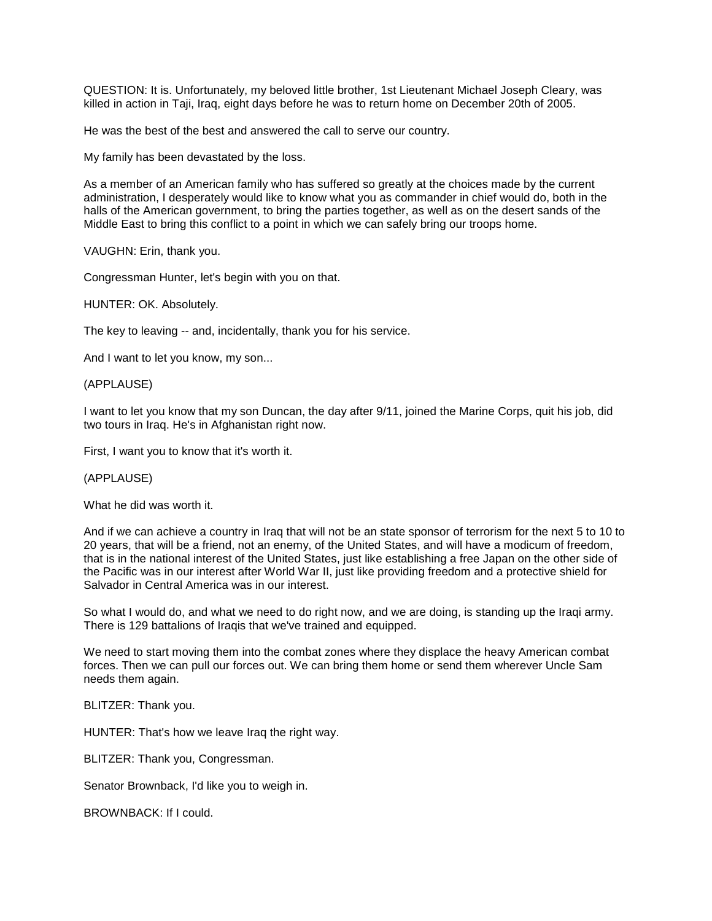QUESTION: It is. Unfortunately, my beloved little brother, 1st Lieutenant Michael Joseph Cleary, was killed in action in Taji, Iraq, eight days before he was to return home on December 20th of 2005.

He was the best of the best and answered the call to serve our country.

My family has been devastated by the loss.

As a member of an American family who has suffered so greatly at the choices made by the current administration, I desperately would like to know what you as commander in chief would do, both in the halls of the American government, to bring the parties together, as well as on the desert sands of the Middle East to bring this conflict to a point in which we can safely bring our troops home.

VAUGHN: Erin, thank you.

Congressman Hunter, let's begin with you on that.

HUNTER: OK. Absolutely.

The key to leaving -- and, incidentally, thank you for his service.

And I want to let you know, my son...

### (APPLAUSE)

I want to let you know that my son Duncan, the day after 9/11, joined the Marine Corps, quit his job, did two tours in Iraq. He's in Afghanistan right now.

First, I want you to know that it's worth it.

# (APPLAUSE)

What he did was worth it.

And if we can achieve a country in Iraq that will not be an state sponsor of terrorism for the next 5 to 10 to 20 years, that will be a friend, not an enemy, of the United States, and will have a modicum of freedom, that is in the national interest of the United States, just like establishing a free Japan on the other side of the Pacific was in our interest after World War II, just like providing freedom and a protective shield for Salvador in Central America was in our interest.

So what I would do, and what we need to do right now, and we are doing, is standing up the Iraqi army. There is 129 battalions of Iraqis that we've trained and equipped.

We need to start moving them into the combat zones where they displace the heavy American combat forces. Then we can pull our forces out. We can bring them home or send them wherever Uncle Sam needs them again.

BLITZER: Thank you.

HUNTER: That's how we leave Iraq the right way.

BLITZER: Thank you, Congressman.

Senator Brownback, I'd like you to weigh in.

BROWNBACK: If I could.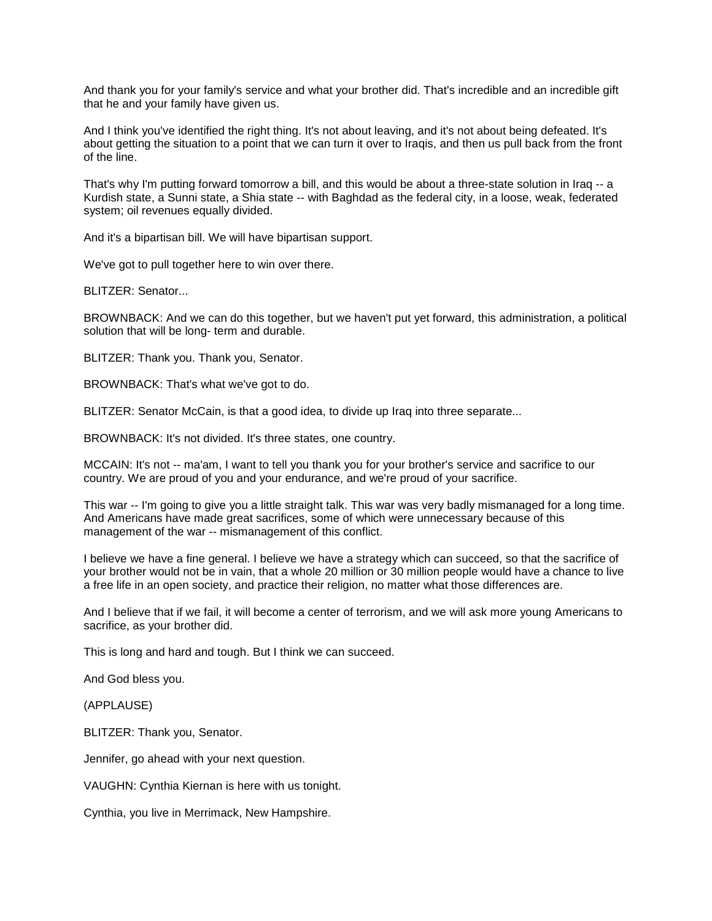And thank you for your family's service and what your brother did. That's incredible and an incredible gift that he and your family have given us.

And I think you've identified the right thing. It's not about leaving, and it's not about being defeated. It's about getting the situation to a point that we can turn it over to Iraqis, and then us pull back from the front of the line.

That's why I'm putting forward tomorrow a bill, and this would be about a three-state solution in Iraq -- a Kurdish state, a Sunni state, a Shia state -- with Baghdad as the federal city, in a loose, weak, federated system; oil revenues equally divided.

And it's a bipartisan bill. We will have bipartisan support.

We've got to pull together here to win over there.

BLITZER: Senator...

BROWNBACK: And we can do this together, but we haven't put yet forward, this administration, a political solution that will be long- term and durable.

BLITZER: Thank you. Thank you, Senator.

BROWNBACK: That's what we've got to do.

BLITZER: Senator McCain, is that a good idea, to divide up Iraq into three separate...

BROWNBACK: It's not divided. It's three states, one country.

MCCAIN: It's not -- ma'am, I want to tell you thank you for your brother's service and sacrifice to our country. We are proud of you and your endurance, and we're proud of your sacrifice.

This war -- I'm going to give you a little straight talk. This war was very badly mismanaged for a long time. And Americans have made great sacrifices, some of which were unnecessary because of this management of the war -- mismanagement of this conflict.

I believe we have a fine general. I believe we have a strategy which can succeed, so that the sacrifice of your brother would not be in vain, that a whole 20 million or 30 million people would have a chance to live a free life in an open society, and practice their religion, no matter what those differences are.

And I believe that if we fail, it will become a center of terrorism, and we will ask more young Americans to sacrifice, as your brother did.

This is long and hard and tough. But I think we can succeed.

And God bless you.

(APPLAUSE)

BLITZER: Thank you, Senator.

Jennifer, go ahead with your next question.

VAUGHN: Cynthia Kiernan is here with us tonight.

Cynthia, you live in Merrimack, New Hampshire.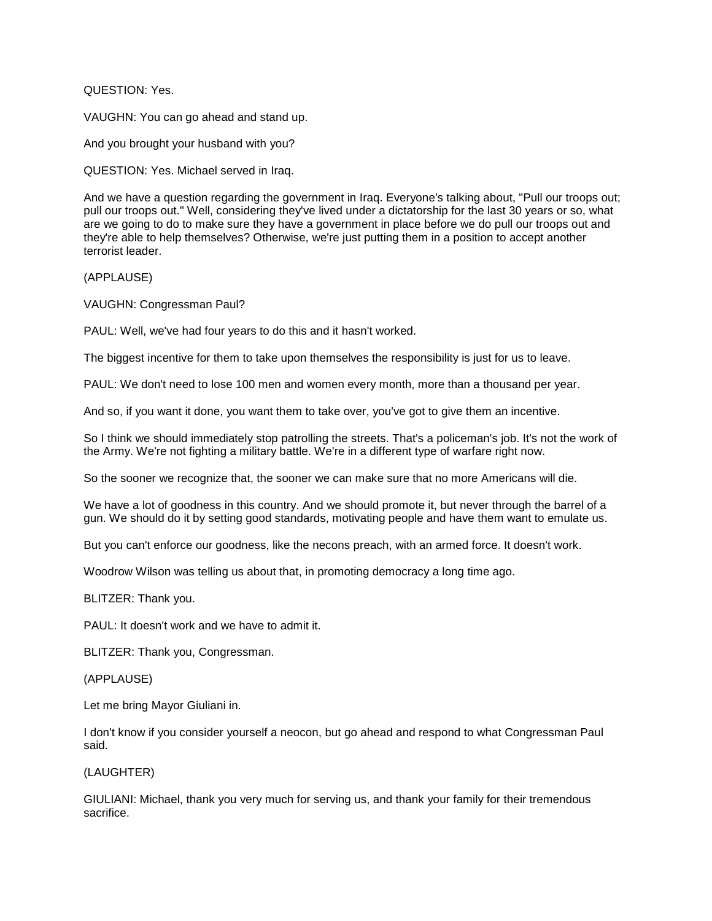QUESTION: Yes.

VAUGHN: You can go ahead and stand up.

And you brought your husband with you?

QUESTION: Yes. Michael served in Iraq.

And we have a question regarding the government in Iraq. Everyone's talking about, "Pull our troops out; pull our troops out." Well, considering they've lived under a dictatorship for the last 30 years or so, what are we going to do to make sure they have a government in place before we do pull our troops out and they're able to help themselves? Otherwise, we're just putting them in a position to accept another terrorist leader.

(APPLAUSE)

VAUGHN: Congressman Paul?

PAUL: Well, we've had four years to do this and it hasn't worked.

The biggest incentive for them to take upon themselves the responsibility is just for us to leave.

PAUL: We don't need to lose 100 men and women every month, more than a thousand per year.

And so, if you want it done, you want them to take over, you've got to give them an incentive.

So I think we should immediately stop patrolling the streets. That's a policeman's job. It's not the work of the Army. We're not fighting a military battle. We're in a different type of warfare right now.

So the sooner we recognize that, the sooner we can make sure that no more Americans will die.

We have a lot of goodness in this country. And we should promote it, but never through the barrel of a gun. We should do it by setting good standards, motivating people and have them want to emulate us.

But you can't enforce our goodness, like the necons preach, with an armed force. It doesn't work.

Woodrow Wilson was telling us about that, in promoting democracy a long time ago.

BLITZER: Thank you.

PAUL: It doesn't work and we have to admit it.

BLITZER: Thank you, Congressman.

(APPLAUSE)

Let me bring Mayor Giuliani in.

I don't know if you consider yourself a neocon, but go ahead and respond to what Congressman Paul said.

# (LAUGHTER)

GIULIANI: Michael, thank you very much for serving us, and thank your family for their tremendous sacrifice.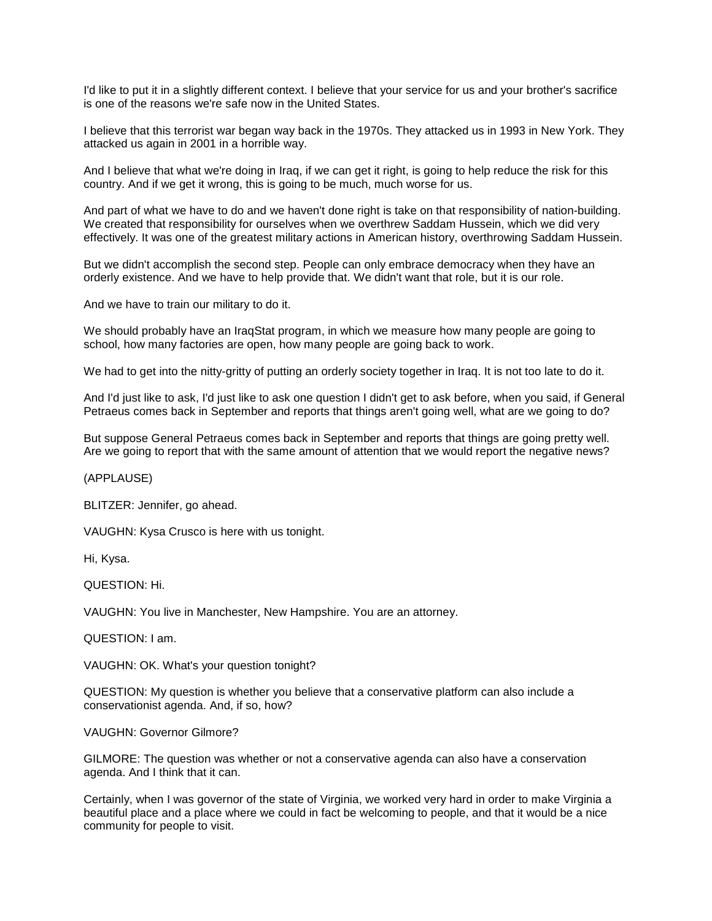I'd like to put it in a slightly different context. I believe that your service for us and your brother's sacrifice is one of the reasons we're safe now in the United States.

I believe that this terrorist war began way back in the 1970s. They attacked us in 1993 in New York. They attacked us again in 2001 in a horrible way.

And I believe that what we're doing in Iraq, if we can get it right, is going to help reduce the risk for this country. And if we get it wrong, this is going to be much, much worse for us.

And part of what we have to do and we haven't done right is take on that responsibility of nation-building. We created that responsibility for ourselves when we overthrew Saddam Hussein, which we did very effectively. It was one of the greatest military actions in American history, overthrowing Saddam Hussein.

But we didn't accomplish the second step. People can only embrace democracy when they have an orderly existence. And we have to help provide that. We didn't want that role, but it is our role.

And we have to train our military to do it.

We should probably have an IraqStat program, in which we measure how many people are going to school, how many factories are open, how many people are going back to work.

We had to get into the nitty-gritty of putting an orderly society together in Iraq. It is not too late to do it.

And I'd just like to ask, I'd just like to ask one question I didn't get to ask before, when you said, if General Petraeus comes back in September and reports that things aren't going well, what are we going to do?

But suppose General Petraeus comes back in September and reports that things are going pretty well. Are we going to report that with the same amount of attention that we would report the negative news?

(APPLAUSE)

BLITZER: Jennifer, go ahead.

VAUGHN: Kysa Crusco is here with us tonight.

Hi, Kysa.

QUESTION: Hi.

VAUGHN: You live in Manchester, New Hampshire. You are an attorney.

QUESTION: I am.

VAUGHN: OK. What's your question tonight?

QUESTION: My question is whether you believe that a conservative platform can also include a conservationist agenda. And, if so, how?

VAUGHN: Governor Gilmore?

GILMORE: The question was whether or not a conservative agenda can also have a conservation agenda. And I think that it can.

Certainly, when I was governor of the state of Virginia, we worked very hard in order to make Virginia a beautiful place and a place where we could in fact be welcoming to people, and that it would be a nice community for people to visit.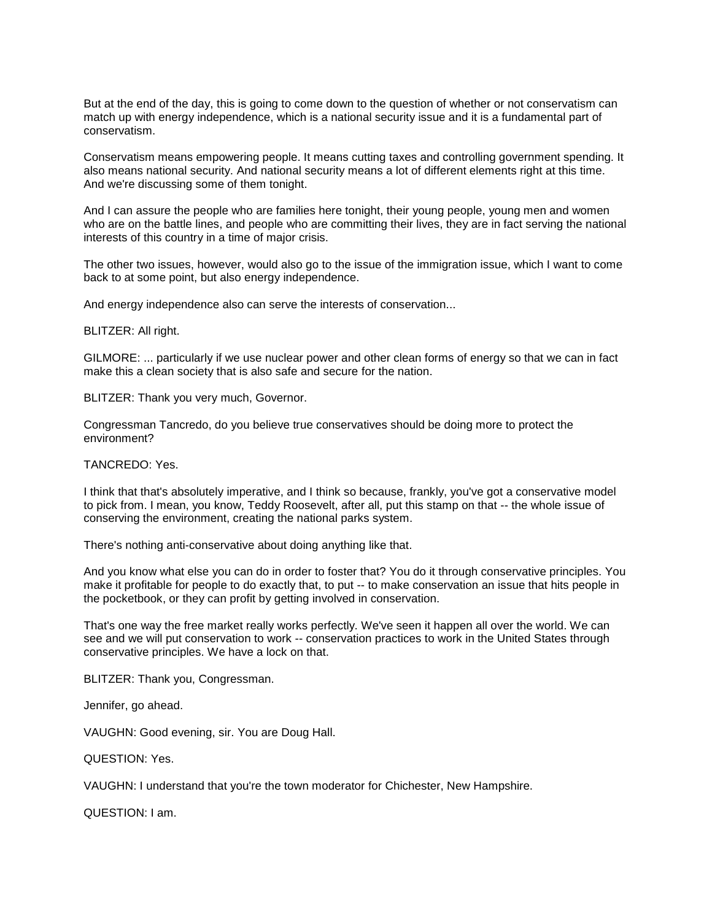But at the end of the day, this is going to come down to the question of whether or not conservatism can match up with energy independence, which is a national security issue and it is a fundamental part of conservatism.

Conservatism means empowering people. It means cutting taxes and controlling government spending. It also means national security. And national security means a lot of different elements right at this time. And we're discussing some of them tonight.

And I can assure the people who are families here tonight, their young people, young men and women who are on the battle lines, and people who are committing their lives, they are in fact serving the national interests of this country in a time of major crisis.

The other two issues, however, would also go to the issue of the immigration issue, which I want to come back to at some point, but also energy independence.

And energy independence also can serve the interests of conservation...

BLITZER: All right.

GILMORE: ... particularly if we use nuclear power and other clean forms of energy so that we can in fact make this a clean society that is also safe and secure for the nation.

BLITZER: Thank you very much, Governor.

Congressman Tancredo, do you believe true conservatives should be doing more to protect the environment?

TANCREDO: Yes.

I think that that's absolutely imperative, and I think so because, frankly, you've got a conservative model to pick from. I mean, you know, Teddy Roosevelt, after all, put this stamp on that -- the whole issue of conserving the environment, creating the national parks system.

There's nothing anti-conservative about doing anything like that.

And you know what else you can do in order to foster that? You do it through conservative principles. You make it profitable for people to do exactly that, to put -- to make conservation an issue that hits people in the pocketbook, or they can profit by getting involved in conservation.

That's one way the free market really works perfectly. We've seen it happen all over the world. We can see and we will put conservation to work -- conservation practices to work in the United States through conservative principles. We have a lock on that.

BLITZER: Thank you, Congressman.

Jennifer, go ahead.

VAUGHN: Good evening, sir. You are Doug Hall.

QUESTION: Yes.

VAUGHN: I understand that you're the town moderator for Chichester, New Hampshire.

QUESTION: I am.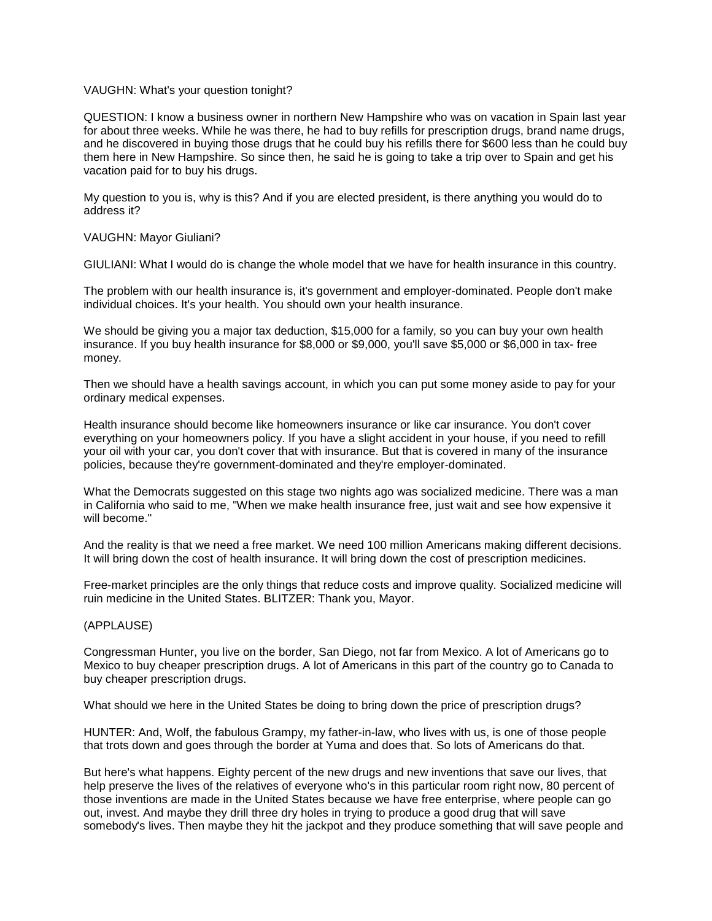# VAUGHN: What's your question tonight?

QUESTION: I know a business owner in northern New Hampshire who was on vacation in Spain last year for about three weeks. While he was there, he had to buy refills for prescription drugs, brand name drugs, and he discovered in buying those drugs that he could buy his refills there for \$600 less than he could buy them here in New Hampshire. So since then, he said he is going to take a trip over to Spain and get his vacation paid for to buy his drugs.

My question to you is, why is this? And if you are elected president, is there anything you would do to address it?

# VAUGHN: Mayor Giuliani?

GIULIANI: What I would do is change the whole model that we have for health insurance in this country.

The problem with our health insurance is, it's government and employer-dominated. People don't make individual choices. It's your health. You should own your health insurance.

We should be giving you a major tax deduction, \$15,000 for a family, so you can buy your own health insurance. If you buy health insurance for \$8,000 or \$9,000, you'll save \$5,000 or \$6,000 in tax- free money.

Then we should have a health savings account, in which you can put some money aside to pay for your ordinary medical expenses.

Health insurance should become like homeowners insurance or like car insurance. You don't cover everything on your homeowners policy. If you have a slight accident in your house, if you need to refill your oil with your car, you don't cover that with insurance. But that is covered in many of the insurance policies, because they're government-dominated and they're employer-dominated.

What the Democrats suggested on this stage two nights ago was socialized medicine. There was a man in California who said to me, "When we make health insurance free, just wait and see how expensive it will become."

And the reality is that we need a free market. We need 100 million Americans making different decisions. It will bring down the cost of health insurance. It will bring down the cost of prescription medicines.

Free-market principles are the only things that reduce costs and improve quality. Socialized medicine will ruin medicine in the United States. BLITZER: Thank you, Mayor.

### (APPLAUSE)

Congressman Hunter, you live on the border, San Diego, not far from Mexico. A lot of Americans go to Mexico to buy cheaper prescription drugs. A lot of Americans in this part of the country go to Canada to buy cheaper prescription drugs.

What should we here in the United States be doing to bring down the price of prescription drugs?

HUNTER: And, Wolf, the fabulous Grampy, my father-in-law, who lives with us, is one of those people that trots down and goes through the border at Yuma and does that. So lots of Americans do that.

But here's what happens. Eighty percent of the new drugs and new inventions that save our lives, that help preserve the lives of the relatives of everyone who's in this particular room right now, 80 percent of those inventions are made in the United States because we have free enterprise, where people can go out, invest. And maybe they drill three dry holes in trying to produce a good drug that will save somebody's lives. Then maybe they hit the jackpot and they produce something that will save people and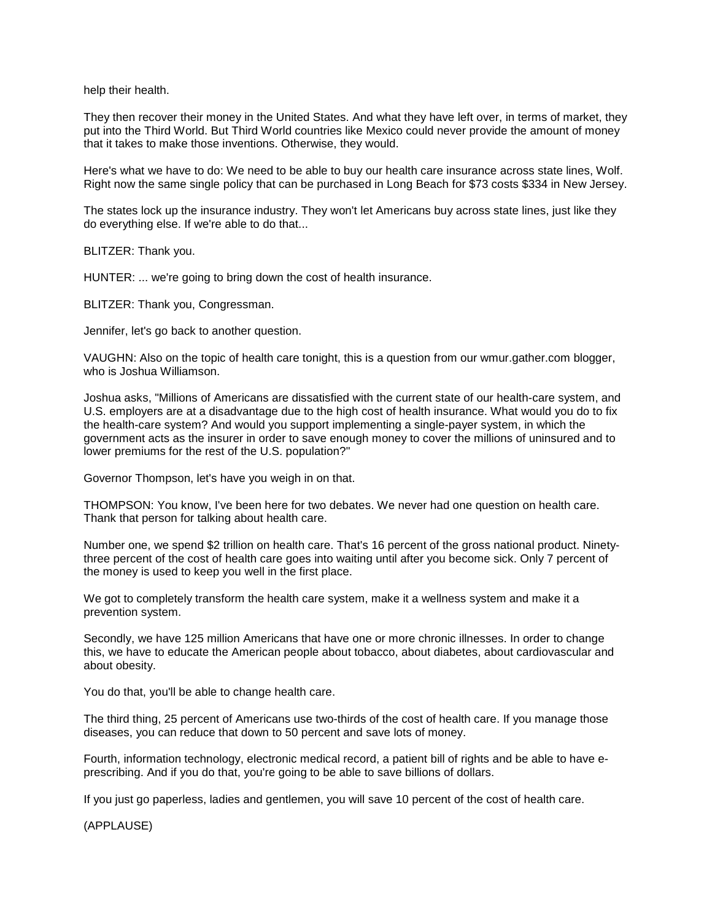help their health.

They then recover their money in the United States. And what they have left over, in terms of market, they put into the Third World. But Third World countries like Mexico could never provide the amount of money that it takes to make those inventions. Otherwise, they would.

Here's what we have to do: We need to be able to buy our health care insurance across state lines, Wolf. Right now the same single policy that can be purchased in Long Beach for \$73 costs \$334 in New Jersey.

The states lock up the insurance industry. They won't let Americans buy across state lines, just like they do everything else. If we're able to do that...

BLITZER: Thank you.

HUNTER: ... we're going to bring down the cost of health insurance.

BLITZER: Thank you, Congressman.

Jennifer, let's go back to another question.

VAUGHN: Also on the topic of health care tonight, this is a question from our wmur.gather.com blogger, who is Joshua Williamson.

Joshua asks, "Millions of Americans are dissatisfied with the current state of our health-care system, and U.S. employers are at a disadvantage due to the high cost of health insurance. What would you do to fix the health-care system? And would you support implementing a single-payer system, in which the government acts as the insurer in order to save enough money to cover the millions of uninsured and to lower premiums for the rest of the U.S. population?"

Governor Thompson, let's have you weigh in on that.

THOMPSON: You know, I've been here for two debates. We never had one question on health care. Thank that person for talking about health care.

Number one, we spend \$2 trillion on health care. That's 16 percent of the gross national product. Ninetythree percent of the cost of health care goes into waiting until after you become sick. Only 7 percent of the money is used to keep you well in the first place.

We got to completely transform the health care system, make it a wellness system and make it a prevention system.

Secondly, we have 125 million Americans that have one or more chronic illnesses. In order to change this, we have to educate the American people about tobacco, about diabetes, about cardiovascular and about obesity.

You do that, you'll be able to change health care.

The third thing, 25 percent of Americans use two-thirds of the cost of health care. If you manage those diseases, you can reduce that down to 50 percent and save lots of money.

Fourth, information technology, electronic medical record, a patient bill of rights and be able to have eprescribing. And if you do that, you're going to be able to save billions of dollars.

If you just go paperless, ladies and gentlemen, you will save 10 percent of the cost of health care.

(APPLAUSE)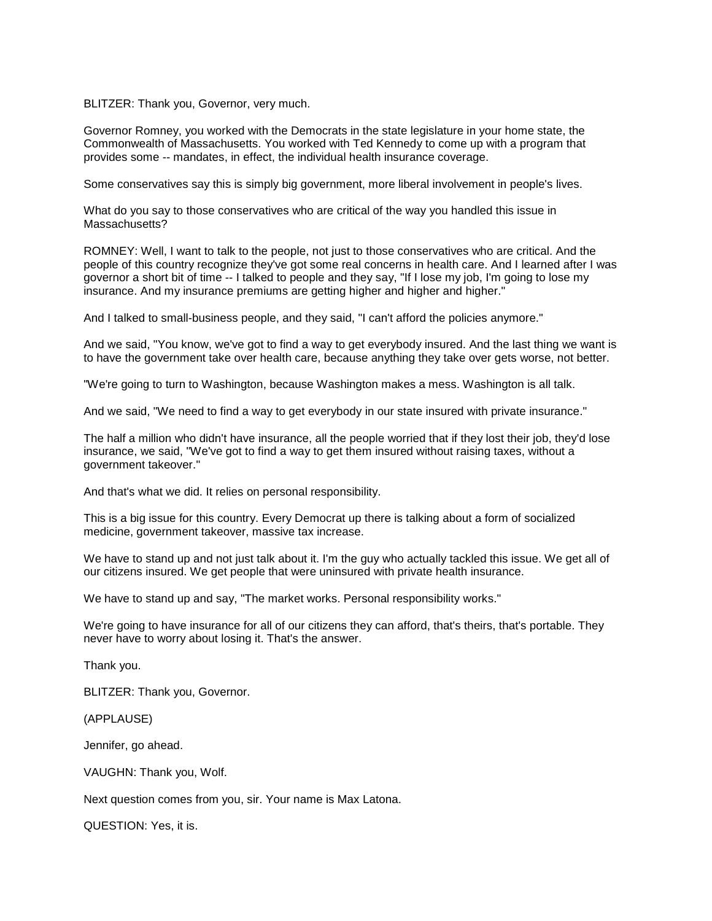BLITZER: Thank you, Governor, very much.

Governor Romney, you worked with the Democrats in the state legislature in your home state, the Commonwealth of Massachusetts. You worked with Ted Kennedy to come up with a program that provides some -- mandates, in effect, the individual health insurance coverage.

Some conservatives say this is simply big government, more liberal involvement in people's lives.

What do you say to those conservatives who are critical of the way you handled this issue in Massachusetts?

ROMNEY: Well, I want to talk to the people, not just to those conservatives who are critical. And the people of this country recognize they've got some real concerns in health care. And I learned after I was governor a short bit of time -- I talked to people and they say, "If I lose my job, I'm going to lose my insurance. And my insurance premiums are getting higher and higher and higher."

And I talked to small-business people, and they said, "I can't afford the policies anymore."

And we said, "You know, we've got to find a way to get everybody insured. And the last thing we want is to have the government take over health care, because anything they take over gets worse, not better.

"We're going to turn to Washington, because Washington makes a mess. Washington is all talk.

And we said, "We need to find a way to get everybody in our state insured with private insurance."

The half a million who didn't have insurance, all the people worried that if they lost their job, they'd lose insurance, we said, "We've got to find a way to get them insured without raising taxes, without a government takeover."

And that's what we did. It relies on personal responsibility.

This is a big issue for this country. Every Democrat up there is talking about a form of socialized medicine, government takeover, massive tax increase.

We have to stand up and not just talk about it. I'm the guy who actually tackled this issue. We get all of our citizens insured. We get people that were uninsured with private health insurance.

We have to stand up and say, "The market works. Personal responsibility works."

We're going to have insurance for all of our citizens they can afford, that's theirs, that's portable. They never have to worry about losing it. That's the answer.

Thank you.

BLITZER: Thank you, Governor.

(APPLAUSE)

Jennifer, go ahead.

VAUGHN: Thank you, Wolf.

Next question comes from you, sir. Your name is Max Latona.

QUESTION: Yes, it is.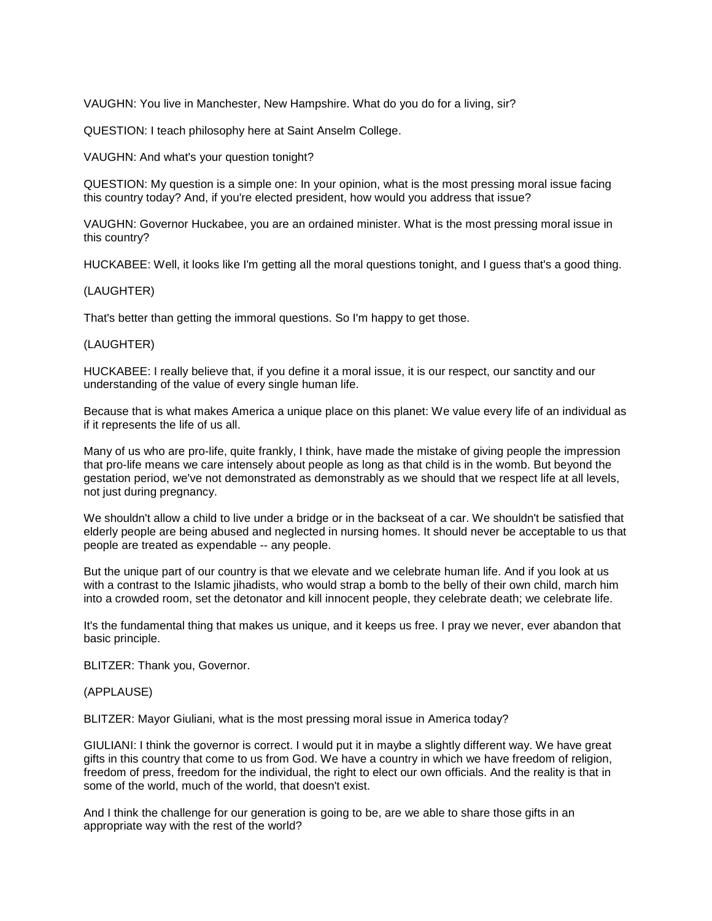VAUGHN: You live in Manchester, New Hampshire. What do you do for a living, sir?

QUESTION: I teach philosophy here at Saint Anselm College.

VAUGHN: And what's your question tonight?

QUESTION: My question is a simple one: In your opinion, what is the most pressing moral issue facing this country today? And, if you're elected president, how would you address that issue?

VAUGHN: Governor Huckabee, you are an ordained minister. What is the most pressing moral issue in this country?

HUCKABEE: Well, it looks like I'm getting all the moral questions tonight, and I guess that's a good thing.

# (LAUGHTER)

That's better than getting the immoral questions. So I'm happy to get those.

# (LAUGHTER)

HUCKABEE: I really believe that, if you define it a moral issue, it is our respect, our sanctity and our understanding of the value of every single human life.

Because that is what makes America a unique place on this planet: We value every life of an individual as if it represents the life of us all.

Many of us who are pro-life, quite frankly, I think, have made the mistake of giving people the impression that pro-life means we care intensely about people as long as that child is in the womb. But beyond the gestation period, we've not demonstrated as demonstrably as we should that we respect life at all levels, not just during pregnancy.

We shouldn't allow a child to live under a bridge or in the backseat of a car. We shouldn't be satisfied that elderly people are being abused and neglected in nursing homes. It should never be acceptable to us that people are treated as expendable -- any people.

But the unique part of our country is that we elevate and we celebrate human life. And if you look at us with a contrast to the Islamic jihadists, who would strap a bomb to the belly of their own child, march him into a crowded room, set the detonator and kill innocent people, they celebrate death; we celebrate life.

It's the fundamental thing that makes us unique, and it keeps us free. I pray we never, ever abandon that basic principle.

BLITZER: Thank you, Governor.

# (APPLAUSE)

BLITZER: Mayor Giuliani, what is the most pressing moral issue in America today?

GIULIANI: I think the governor is correct. I would put it in maybe a slightly different way. We have great gifts in this country that come to us from God. We have a country in which we have freedom of religion, freedom of press, freedom for the individual, the right to elect our own officials. And the reality is that in some of the world, much of the world, that doesn't exist.

And I think the challenge for our generation is going to be, are we able to share those gifts in an appropriate way with the rest of the world?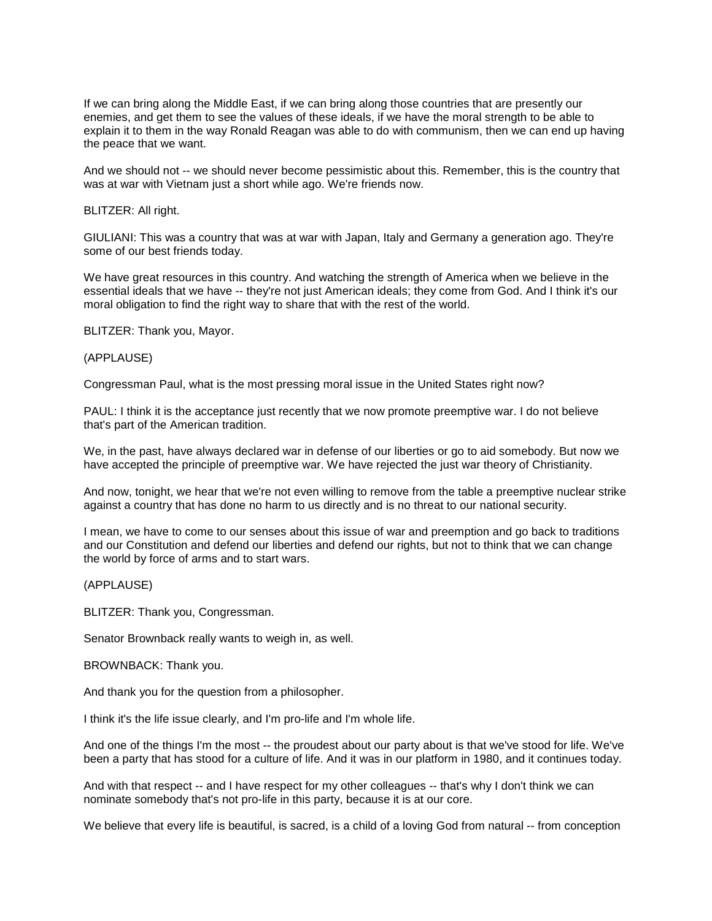If we can bring along the Middle East, if we can bring along those countries that are presently our enemies, and get them to see the values of these ideals, if we have the moral strength to be able to explain it to them in the way Ronald Reagan was able to do with communism, then we can end up having the peace that we want.

And we should not -- we should never become pessimistic about this. Remember, this is the country that was at war with Vietnam just a short while ago. We're friends now.

### BLITZER: All right.

GIULIANI: This was a country that was at war with Japan, Italy and Germany a generation ago. They're some of our best friends today.

We have great resources in this country. And watching the strength of America when we believe in the essential ideals that we have -- they're not just American ideals; they come from God. And I think it's our moral obligation to find the right way to share that with the rest of the world.

BLITZER: Thank you, Mayor.

### (APPLAUSE)

Congressman Paul, what is the most pressing moral issue in the United States right now?

PAUL: I think it is the acceptance just recently that we now promote preemptive war. I do not believe that's part of the American tradition.

We, in the past, have always declared war in defense of our liberties or go to aid somebody. But now we have accepted the principle of preemptive war. We have rejected the just war theory of Christianity.

And now, tonight, we hear that we're not even willing to remove from the table a preemptive nuclear strike against a country that has done no harm to us directly and is no threat to our national security.

I mean, we have to come to our senses about this issue of war and preemption and go back to traditions and our Constitution and defend our liberties and defend our rights, but not to think that we can change the world by force of arms and to start wars.

(APPLAUSE)

BLITZER: Thank you, Congressman.

Senator Brownback really wants to weigh in, as well.

BROWNBACK: Thank you.

And thank you for the question from a philosopher.

I think it's the life issue clearly, and I'm pro-life and I'm whole life.

And one of the things I'm the most -- the proudest about our party about is that we've stood for life. We've been a party that has stood for a culture of life. And it was in our platform in 1980, and it continues today.

And with that respect -- and I have respect for my other colleagues -- that's why I don't think we can nominate somebody that's not pro-life in this party, because it is at our core.

We believe that every life is beautiful, is sacred, is a child of a loving God from natural -- from conception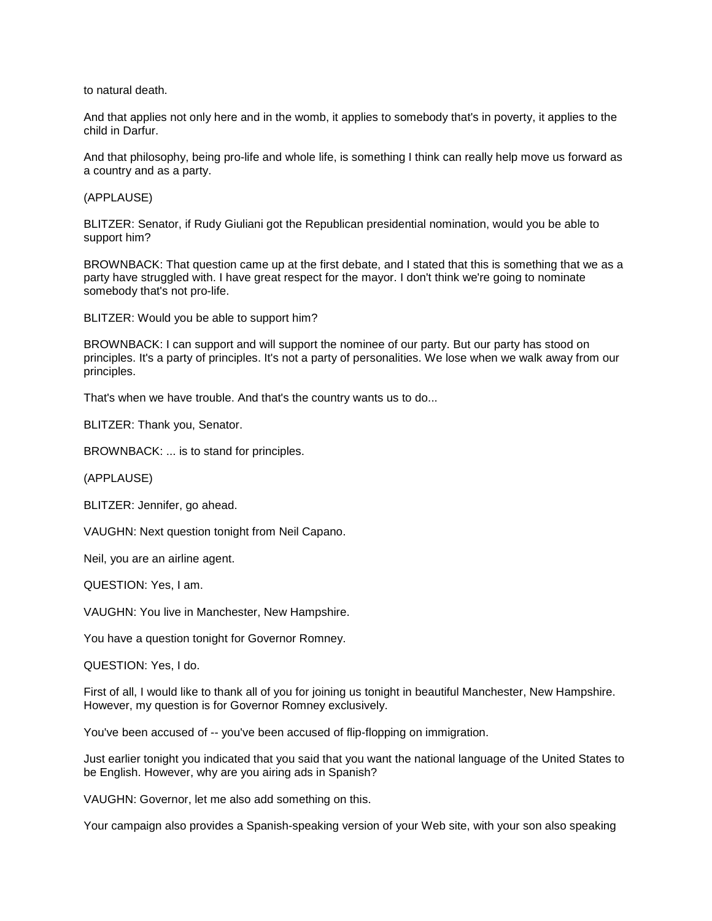to natural death.

And that applies not only here and in the womb, it applies to somebody that's in poverty, it applies to the child in Darfur.

And that philosophy, being pro-life and whole life, is something I think can really help move us forward as a country and as a party.

(APPLAUSE)

BLITZER: Senator, if Rudy Giuliani got the Republican presidential nomination, would you be able to support him?

BROWNBACK: That question came up at the first debate, and I stated that this is something that we as a party have struggled with. I have great respect for the mayor. I don't think we're going to nominate somebody that's not pro-life.

BLITZER: Would you be able to support him?

BROWNBACK: I can support and will support the nominee of our party. But our party has stood on principles. It's a party of principles. It's not a party of personalities. We lose when we walk away from our principles.

That's when we have trouble. And that's the country wants us to do...

BLITZER: Thank you, Senator.

BROWNBACK: ... is to stand for principles.

(APPLAUSE)

BLITZER: Jennifer, go ahead.

VAUGHN: Next question tonight from Neil Capano.

Neil, you are an airline agent.

QUESTION: Yes, I am.

VAUGHN: You live in Manchester, New Hampshire.

You have a question tonight for Governor Romney.

QUESTION: Yes, I do.

First of all, I would like to thank all of you for joining us tonight in beautiful Manchester, New Hampshire. However, my question is for Governor Romney exclusively.

You've been accused of -- you've been accused of flip-flopping on immigration.

Just earlier tonight you indicated that you said that you want the national language of the United States to be English. However, why are you airing ads in Spanish?

VAUGHN: Governor, let me also add something on this.

Your campaign also provides a Spanish-speaking version of your Web site, with your son also speaking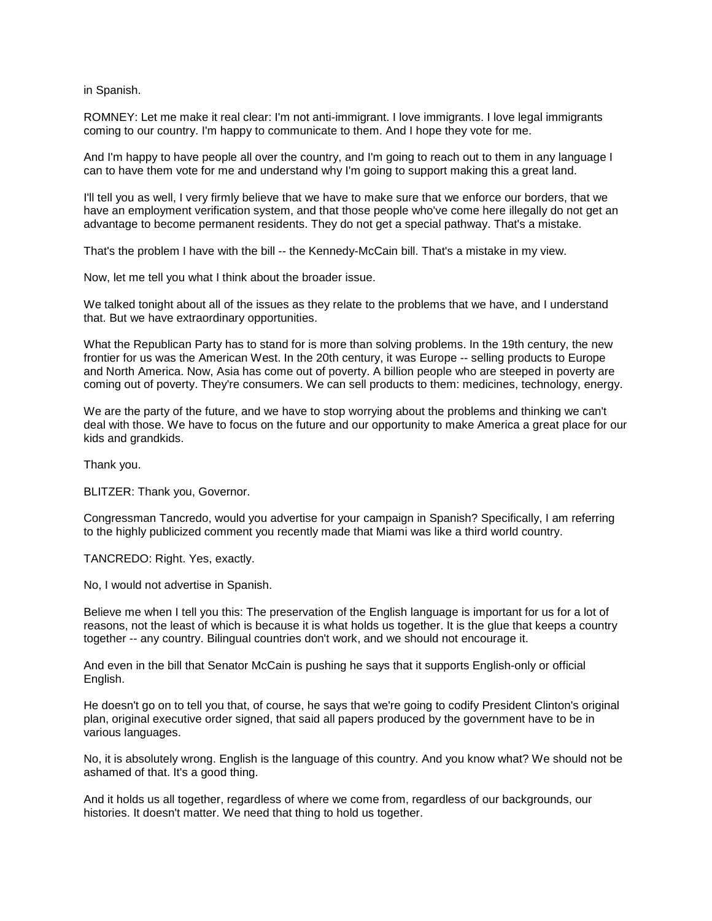in Spanish.

ROMNEY: Let me make it real clear: I'm not anti-immigrant. I love immigrants. I love legal immigrants coming to our country. I'm happy to communicate to them. And I hope they vote for me.

And I'm happy to have people all over the country, and I'm going to reach out to them in any language I can to have them vote for me and understand why I'm going to support making this a great land.

I'll tell you as well, I very firmly believe that we have to make sure that we enforce our borders, that we have an employment verification system, and that those people who've come here illegally do not get an advantage to become permanent residents. They do not get a special pathway. That's a mistake.

That's the problem I have with the bill -- the Kennedy-McCain bill. That's a mistake in my view.

Now, let me tell you what I think about the broader issue.

We talked tonight about all of the issues as they relate to the problems that we have, and I understand that. But we have extraordinary opportunities.

What the Republican Party has to stand for is more than solving problems. In the 19th century, the new frontier for us was the American West. In the 20th century, it was Europe -- selling products to Europe and North America. Now, Asia has come out of poverty. A billion people who are steeped in poverty are coming out of poverty. They're consumers. We can sell products to them: medicines, technology, energy.

We are the party of the future, and we have to stop worrying about the problems and thinking we can't deal with those. We have to focus on the future and our opportunity to make America a great place for our kids and grandkids.

Thank you.

BLITZER: Thank you, Governor.

Congressman Tancredo, would you advertise for your campaign in Spanish? Specifically, I am referring to the highly publicized comment you recently made that Miami was like a third world country.

TANCREDO: Right. Yes, exactly.

No, I would not advertise in Spanish.

Believe me when I tell you this: The preservation of the English language is important for us for a lot of reasons, not the least of which is because it is what holds us together. It is the glue that keeps a country together -- any country. Bilingual countries don't work, and we should not encourage it.

And even in the bill that Senator McCain is pushing he says that it supports English-only or official English.

He doesn't go on to tell you that, of course, he says that we're going to codify President Clinton's original plan, original executive order signed, that said all papers produced by the government have to be in various languages.

No, it is absolutely wrong. English is the language of this country. And you know what? We should not be ashamed of that. It's a good thing.

And it holds us all together, regardless of where we come from, regardless of our backgrounds, our histories. It doesn't matter. We need that thing to hold us together.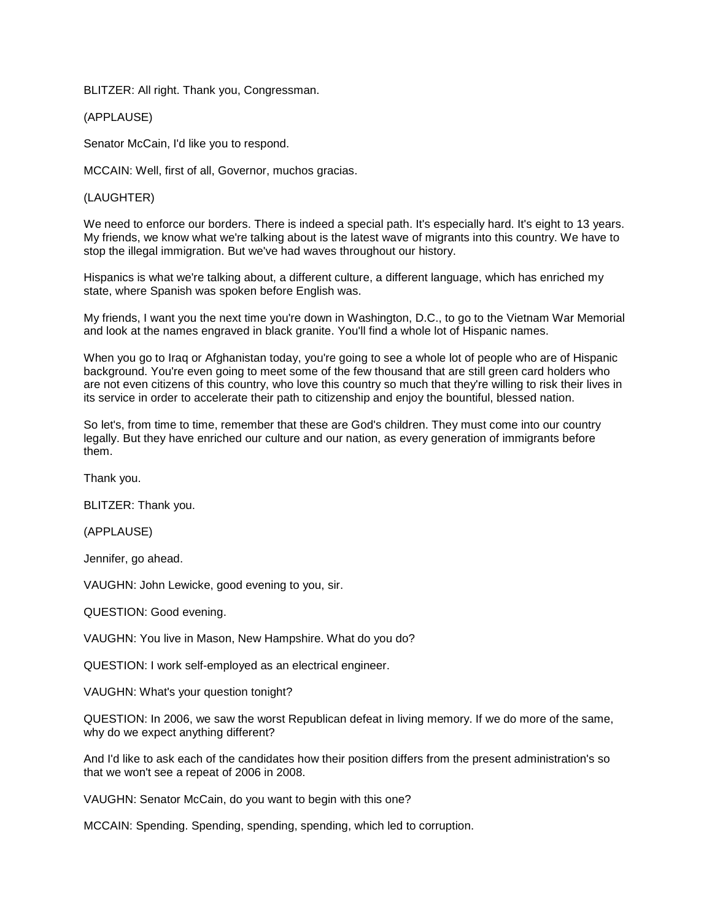BLITZER: All right. Thank you, Congressman.

(APPLAUSE)

Senator McCain, I'd like you to respond.

MCCAIN: Well, first of all, Governor, muchos gracias.

# (LAUGHTER)

We need to enforce our borders. There is indeed a special path. It's especially hard. It's eight to 13 years. My friends, we know what we're talking about is the latest wave of migrants into this country. We have to stop the illegal immigration. But we've had waves throughout our history.

Hispanics is what we're talking about, a different culture, a different language, which has enriched my state, where Spanish was spoken before English was.

My friends, I want you the next time you're down in Washington, D.C., to go to the Vietnam War Memorial and look at the names engraved in black granite. You'll find a whole lot of Hispanic names.

When you go to Iraq or Afghanistan today, you're going to see a whole lot of people who are of Hispanic background. You're even going to meet some of the few thousand that are still green card holders who are not even citizens of this country, who love this country so much that they're willing to risk their lives in its service in order to accelerate their path to citizenship and enjoy the bountiful, blessed nation.

So let's, from time to time, remember that these are God's children. They must come into our country legally. But they have enriched our culture and our nation, as every generation of immigrants before them.

Thank you.

BLITZER: Thank you.

(APPLAUSE)

Jennifer, go ahead.

VAUGHN: John Lewicke, good evening to you, sir.

QUESTION: Good evening.

VAUGHN: You live in Mason, New Hampshire. What do you do?

QUESTION: I work self-employed as an electrical engineer.

VAUGHN: What's your question tonight?

QUESTION: In 2006, we saw the worst Republican defeat in living memory. If we do more of the same, why do we expect anything different?

And I'd like to ask each of the candidates how their position differs from the present administration's so that we won't see a repeat of 2006 in 2008.

VAUGHN: Senator McCain, do you want to begin with this one?

MCCAIN: Spending. Spending, spending, spending, which led to corruption.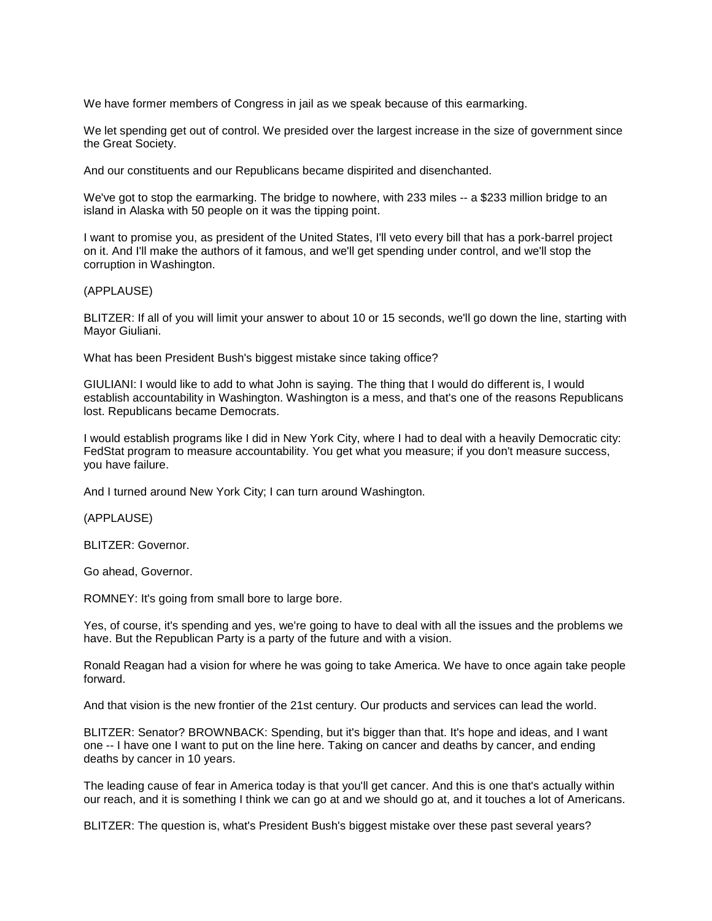We have former members of Congress in jail as we speak because of this earmarking.

We let spending get out of control. We presided over the largest increase in the size of government since the Great Society.

And our constituents and our Republicans became dispirited and disenchanted.

We've got to stop the earmarking. The bridge to nowhere, with 233 miles -- a \$233 million bridge to an island in Alaska with 50 people on it was the tipping point.

I want to promise you, as president of the United States, I'll veto every bill that has a pork-barrel project on it. And I'll make the authors of it famous, and we'll get spending under control, and we'll stop the corruption in Washington.

(APPLAUSE)

BLITZER: If all of you will limit your answer to about 10 or 15 seconds, we'll go down the line, starting with Mayor Giuliani.

What has been President Bush's biggest mistake since taking office?

GIULIANI: I would like to add to what John is saying. The thing that I would do different is, I would establish accountability in Washington. Washington is a mess, and that's one of the reasons Republicans lost. Republicans became Democrats.

I would establish programs like I did in New York City, where I had to deal with a heavily Democratic city: FedStat program to measure accountability. You get what you measure; if you don't measure success, you have failure.

And I turned around New York City; I can turn around Washington.

(APPLAUSE)

BLITZER: Governor.

Go ahead, Governor.

ROMNEY: It's going from small bore to large bore.

Yes, of course, it's spending and yes, we're going to have to deal with all the issues and the problems we have. But the Republican Party is a party of the future and with a vision.

Ronald Reagan had a vision for where he was going to take America. We have to once again take people forward.

And that vision is the new frontier of the 21st century. Our products and services can lead the world.

BLITZER: Senator? BROWNBACK: Spending, but it's bigger than that. It's hope and ideas, and I want one -- I have one I want to put on the line here. Taking on cancer and deaths by cancer, and ending deaths by cancer in 10 years.

The leading cause of fear in America today is that you'll get cancer. And this is one that's actually within our reach, and it is something I think we can go at and we should go at, and it touches a lot of Americans.

BLITZER: The question is, what's President Bush's biggest mistake over these past several years?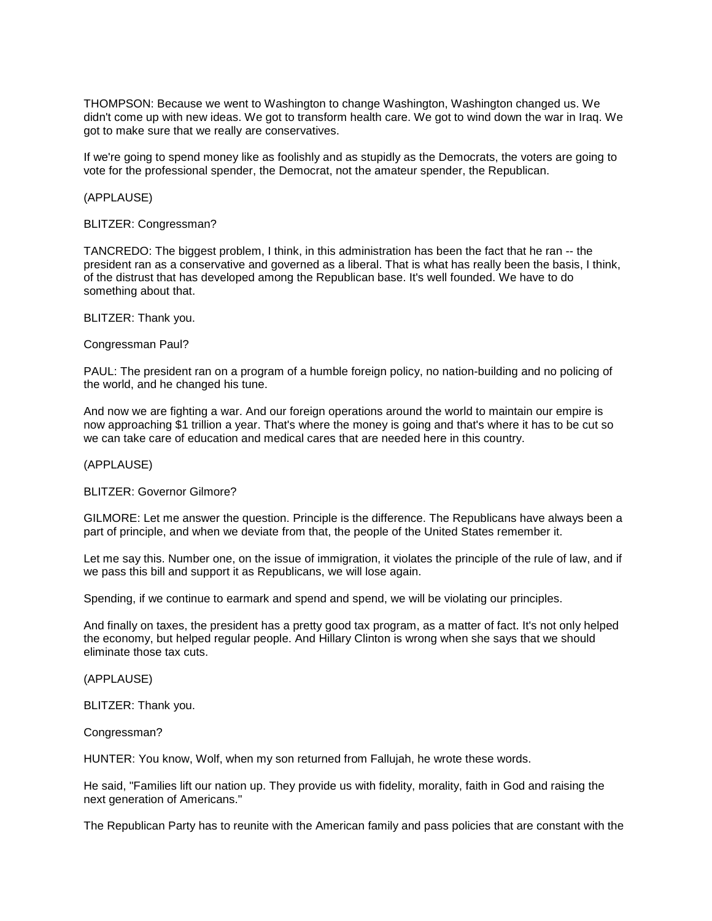THOMPSON: Because we went to Washington to change Washington, Washington changed us. We didn't come up with new ideas. We got to transform health care. We got to wind down the war in Iraq. We got to make sure that we really are conservatives.

If we're going to spend money like as foolishly and as stupidly as the Democrats, the voters are going to vote for the professional spender, the Democrat, not the amateur spender, the Republican.

### (APPLAUSE)

BLITZER: Congressman?

TANCREDO: The biggest problem, I think, in this administration has been the fact that he ran -- the president ran as a conservative and governed as a liberal. That is what has really been the basis, I think, of the distrust that has developed among the Republican base. It's well founded. We have to do something about that.

BLITZER: Thank you.

#### Congressman Paul?

PAUL: The president ran on a program of a humble foreign policy, no nation-building and no policing of the world, and he changed his tune.

And now we are fighting a war. And our foreign operations around the world to maintain our empire is now approaching \$1 trillion a year. That's where the money is going and that's where it has to be cut so we can take care of education and medical cares that are needed here in this country.

#### (APPLAUSE)

BLITZER: Governor Gilmore?

GILMORE: Let me answer the question. Principle is the difference. The Republicans have always been a part of principle, and when we deviate from that, the people of the United States remember it.

Let me say this. Number one, on the issue of immigration, it violates the principle of the rule of law, and if we pass this bill and support it as Republicans, we will lose again.

Spending, if we continue to earmark and spend and spend, we will be violating our principles.

And finally on taxes, the president has a pretty good tax program, as a matter of fact. It's not only helped the economy, but helped regular people. And Hillary Clinton is wrong when she says that we should eliminate those tax cuts.

(APPLAUSE)

BLITZER: Thank you.

Congressman?

HUNTER: You know, Wolf, when my son returned from Fallujah, he wrote these words.

He said, "Families lift our nation up. They provide us with fidelity, morality, faith in God and raising the next generation of Americans."

The Republican Party has to reunite with the American family and pass policies that are constant with the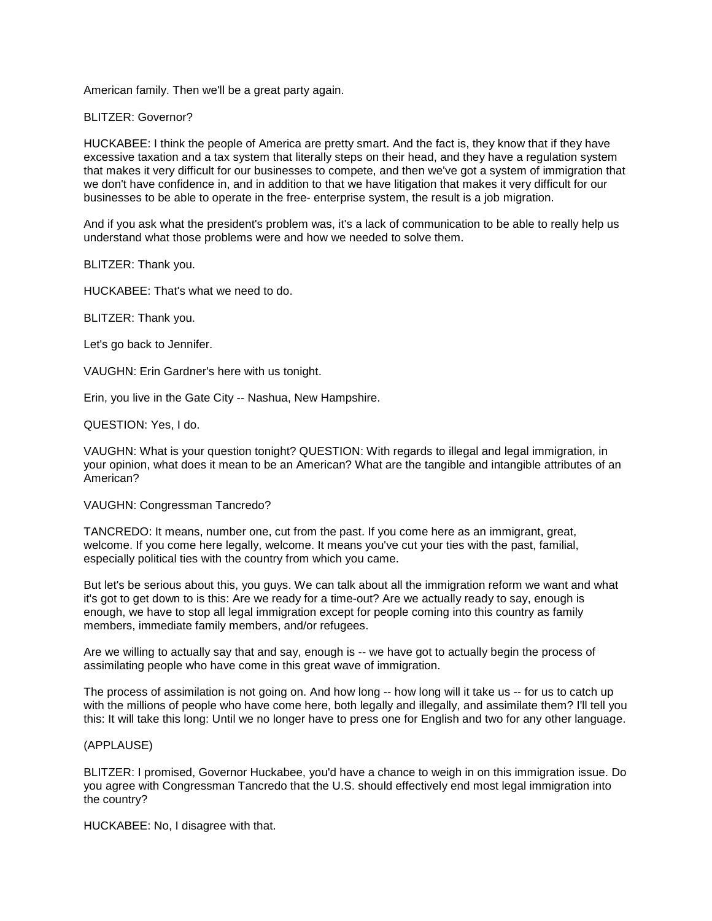American family. Then we'll be a great party again.

BLITZER: Governor?

HUCKABEE: I think the people of America are pretty smart. And the fact is, they know that if they have excessive taxation and a tax system that literally steps on their head, and they have a regulation system that makes it very difficult for our businesses to compete, and then we've got a system of immigration that we don't have confidence in, and in addition to that we have litigation that makes it very difficult for our businesses to be able to operate in the free- enterprise system, the result is a job migration.

And if you ask what the president's problem was, it's a lack of communication to be able to really help us understand what those problems were and how we needed to solve them.

BLITZER: Thank you.

HUCKABEE: That's what we need to do.

BLITZER: Thank you.

Let's go back to Jennifer.

VAUGHN: Erin Gardner's here with us tonight.

Erin, you live in the Gate City -- Nashua, New Hampshire.

QUESTION: Yes, I do.

VAUGHN: What is your question tonight? QUESTION: With regards to illegal and legal immigration, in your opinion, what does it mean to be an American? What are the tangible and intangible attributes of an American?

VAUGHN: Congressman Tancredo?

TANCREDO: It means, number one, cut from the past. If you come here as an immigrant, great, welcome. If you come here legally, welcome. It means you've cut your ties with the past, familial, especially political ties with the country from which you came.

But let's be serious about this, you guys. We can talk about all the immigration reform we want and what it's got to get down to is this: Are we ready for a time-out? Are we actually ready to say, enough is enough, we have to stop all legal immigration except for people coming into this country as family members, immediate family members, and/or refugees.

Are we willing to actually say that and say, enough is -- we have got to actually begin the process of assimilating people who have come in this great wave of immigration.

The process of assimilation is not going on. And how long -- how long will it take us -- for us to catch up with the millions of people who have come here, both legally and illegally, and assimilate them? I'll tell you this: It will take this long: Until we no longer have to press one for English and two for any other language.

### (APPLAUSE)

BLITZER: I promised, Governor Huckabee, you'd have a chance to weigh in on this immigration issue. Do you agree with Congressman Tancredo that the U.S. should effectively end most legal immigration into the country?

HUCKABEE: No, I disagree with that.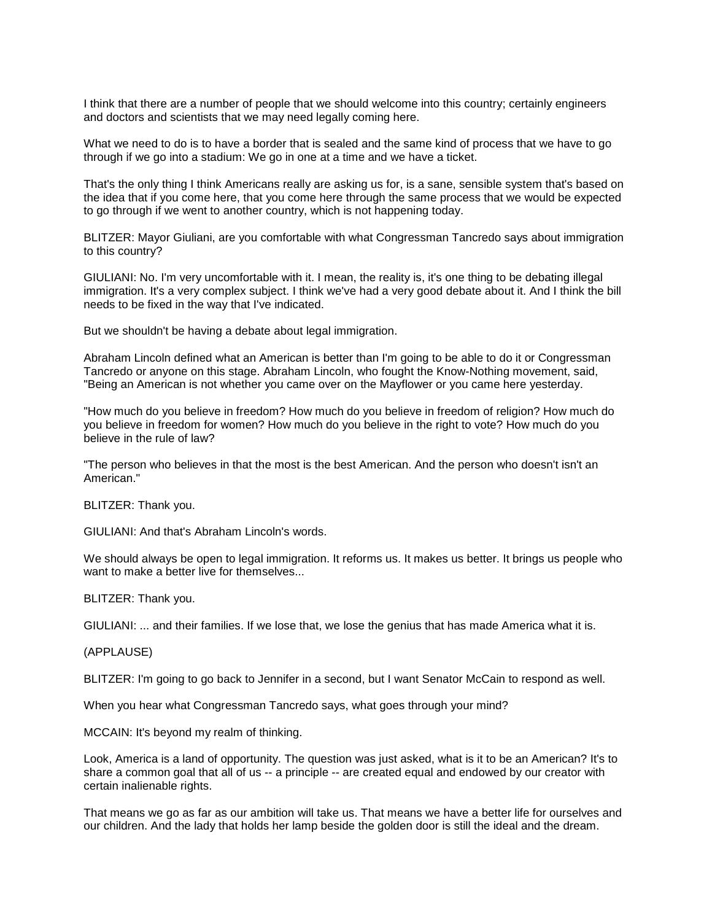I think that there are a number of people that we should welcome into this country; certainly engineers and doctors and scientists that we may need legally coming here.

What we need to do is to have a border that is sealed and the same kind of process that we have to go through if we go into a stadium: We go in one at a time and we have a ticket.

That's the only thing I think Americans really are asking us for, is a sane, sensible system that's based on the idea that if you come here, that you come here through the same process that we would be expected to go through if we went to another country, which is not happening today.

BLITZER: Mayor Giuliani, are you comfortable with what Congressman Tancredo says about immigration to this country?

GIULIANI: No. I'm very uncomfortable with it. I mean, the reality is, it's one thing to be debating illegal immigration. It's a very complex subject. I think we've had a very good debate about it. And I think the bill needs to be fixed in the way that I've indicated.

But we shouldn't be having a debate about legal immigration.

Abraham Lincoln defined what an American is better than I'm going to be able to do it or Congressman Tancredo or anyone on this stage. Abraham Lincoln, who fought the Know-Nothing movement, said, "Being an American is not whether you came over on the Mayflower or you came here yesterday.

"How much do you believe in freedom? How much do you believe in freedom of religion? How much do you believe in freedom for women? How much do you believe in the right to vote? How much do you believe in the rule of law?

"The person who believes in that the most is the best American. And the person who doesn't isn't an American."

BLITZER: Thank you.

GIULIANI: And that's Abraham Lincoln's words.

We should always be open to legal immigration. It reforms us. It makes us better. It brings us people who want to make a better live for themselves...

BLITZER: Thank you.

GIULIANI: ... and their families. If we lose that, we lose the genius that has made America what it is.

(APPLAUSE)

BLITZER: I'm going to go back to Jennifer in a second, but I want Senator McCain to respond as well.

When you hear what Congressman Tancredo says, what goes through your mind?

MCCAIN: It's beyond my realm of thinking.

Look, America is a land of opportunity. The question was just asked, what is it to be an American? It's to share a common goal that all of us -- a principle -- are created equal and endowed by our creator with certain inalienable rights.

That means we go as far as our ambition will take us. That means we have a better life for ourselves and our children. And the lady that holds her lamp beside the golden door is still the ideal and the dream.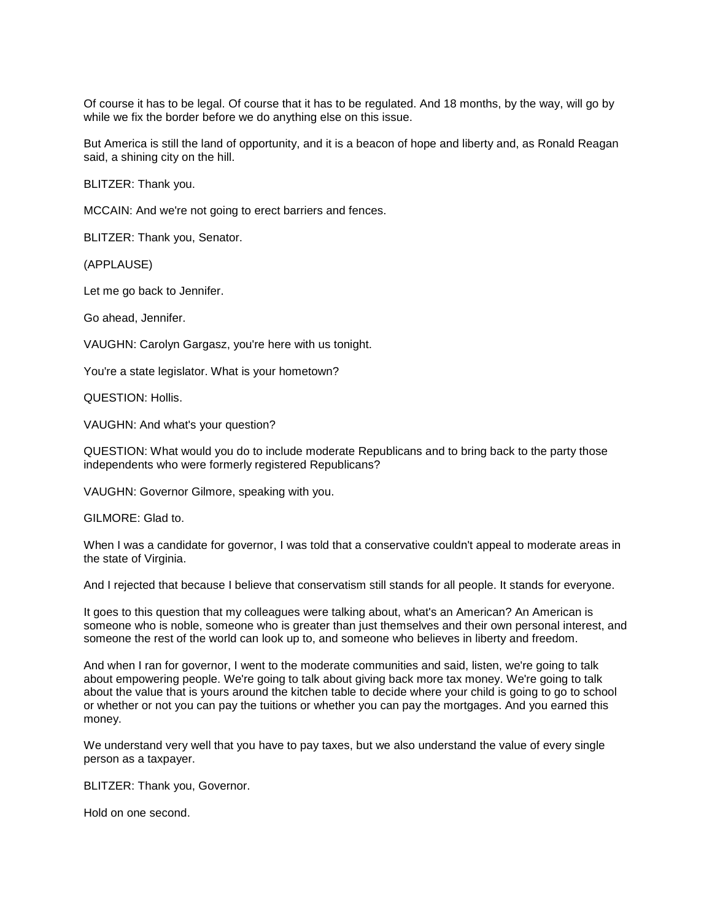Of course it has to be legal. Of course that it has to be regulated. And 18 months, by the way, will go by while we fix the border before we do anything else on this issue.

But America is still the land of opportunity, and it is a beacon of hope and liberty and, as Ronald Reagan said, a shining city on the hill.

BLITZER: Thank you.

MCCAIN: And we're not going to erect barriers and fences.

BLITZER: Thank you, Senator.

(APPLAUSE)

Let me go back to Jennifer.

Go ahead, Jennifer.

VAUGHN: Carolyn Gargasz, you're here with us tonight.

You're a state legislator. What is your hometown?

QUESTION: Hollis.

VAUGHN: And what's your question?

QUESTION: What would you do to include moderate Republicans and to bring back to the party those independents who were formerly registered Republicans?

VAUGHN: Governor Gilmore, speaking with you.

GILMORE: Glad to.

When I was a candidate for governor, I was told that a conservative couldn't appeal to moderate areas in the state of Virginia.

And I rejected that because I believe that conservatism still stands for all people. It stands for everyone.

It goes to this question that my colleagues were talking about, what's an American? An American is someone who is noble, someone who is greater than just themselves and their own personal interest, and someone the rest of the world can look up to, and someone who believes in liberty and freedom.

And when I ran for governor, I went to the moderate communities and said, listen, we're going to talk about empowering people. We're going to talk about giving back more tax money. We're going to talk about the value that is yours around the kitchen table to decide where your child is going to go to school or whether or not you can pay the tuitions or whether you can pay the mortgages. And you earned this money.

We understand very well that you have to pay taxes, but we also understand the value of every single person as a taxpayer.

BLITZER: Thank you, Governor.

Hold on one second.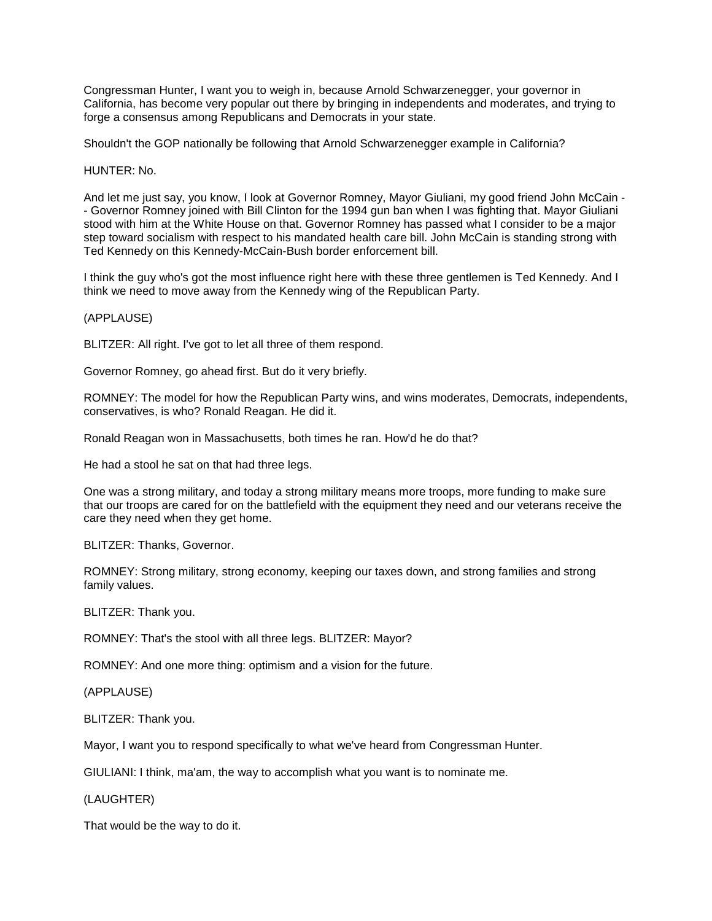Congressman Hunter, I want you to weigh in, because Arnold Schwarzenegger, your governor in California, has become very popular out there by bringing in independents and moderates, and trying to forge a consensus among Republicans and Democrats in your state.

Shouldn't the GOP nationally be following that Arnold Schwarzenegger example in California?

### HUNTER: No.

And let me just say, you know, I look at Governor Romney, Mayor Giuliani, my good friend John McCain - - Governor Romney joined with Bill Clinton for the 1994 gun ban when I was fighting that. Mayor Giuliani stood with him at the White House on that. Governor Romney has passed what I consider to be a major step toward socialism with respect to his mandated health care bill. John McCain is standing strong with Ted Kennedy on this Kennedy-McCain-Bush border enforcement bill.

I think the guy who's got the most influence right here with these three gentlemen is Ted Kennedy. And I think we need to move away from the Kennedy wing of the Republican Party.

### (APPLAUSE)

BLITZER: All right. I've got to let all three of them respond.

Governor Romney, go ahead first. But do it very briefly.

ROMNEY: The model for how the Republican Party wins, and wins moderates, Democrats, independents, conservatives, is who? Ronald Reagan. He did it.

Ronald Reagan won in Massachusetts, both times he ran. How'd he do that?

He had a stool he sat on that had three legs.

One was a strong military, and today a strong military means more troops, more funding to make sure that our troops are cared for on the battlefield with the equipment they need and our veterans receive the care they need when they get home.

BLITZER: Thanks, Governor.

ROMNEY: Strong military, strong economy, keeping our taxes down, and strong families and strong family values.

BLITZER: Thank you.

ROMNEY: That's the stool with all three legs. BLITZER: Mayor?

ROMNEY: And one more thing: optimism and a vision for the future.

(APPLAUSE)

BLITZER: Thank you.

Mayor, I want you to respond specifically to what we've heard from Congressman Hunter.

GIULIANI: I think, ma'am, the way to accomplish what you want is to nominate me.

(LAUGHTER)

That would be the way to do it.